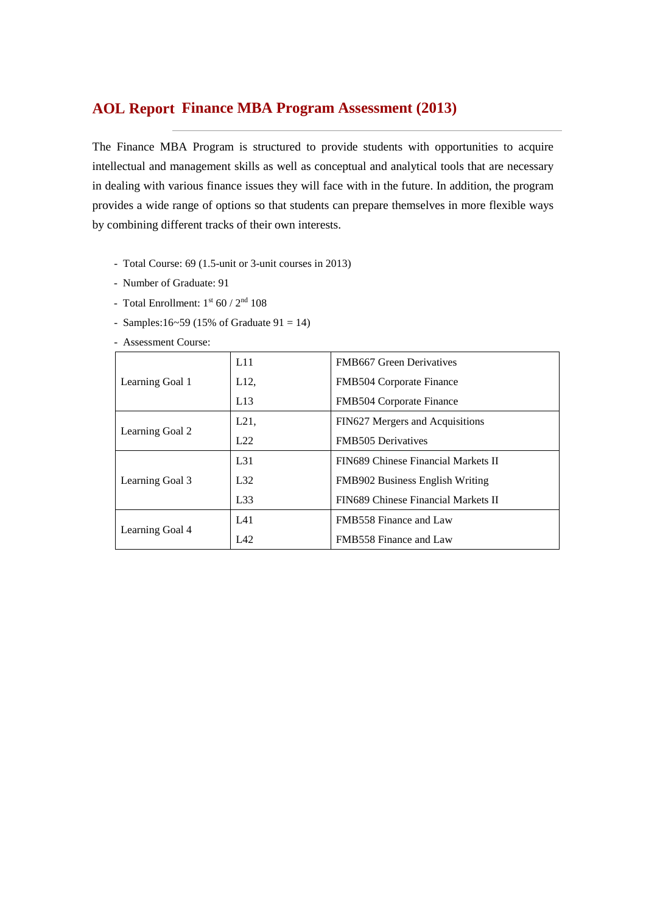## **Finance MBA Program Assessment (2013) AOL Report**

The Finance MBA Program is structured to provide students with opportunities to acquire intellectual and management skills as well as conceptual and analytical tools that are necessary in dealing with various finance issues they will face with in the future. In addition, the program provides a wide range of options so that students can prepare themselves in more flexible ways by combining different tracks of their own interests.

- Total Course: 69 (1.5-unit or 3-unit courses in 2013)
- Number of Graduate: 91
- Total Enrollment:  $1<sup>st</sup> 60 / 2<sup>nd</sup> 108$
- Samples:16~59 (15% of Graduate  $91 = 14$ )

- Assessment Course:

|                 | L11      | <b>FMB667</b> Green Derivatives        |
|-----------------|----------|----------------------------------------|
| Learning Goal 1 | L12,     | FMB504 Corporate Finance               |
|                 | L13      | FMB504 Corporate Finance               |
|                 | L21,     | FIN627 Mergers and Acquisitions        |
| Learning Goal 2 | L22      | <b>FMB505</b> Derivatives              |
|                 | $L_{31}$ | FIN689 Chinese Financial Markets II    |
| Learning Goal 3 | L32      | <b>FMB902 Business English Writing</b> |
|                 | L33      | FIN689 Chinese Financial Markets II    |
|                 | L41      | FMB558 Finance and Law                 |
| Learning Goal 4 | L42      | FMB558 Finance and Law                 |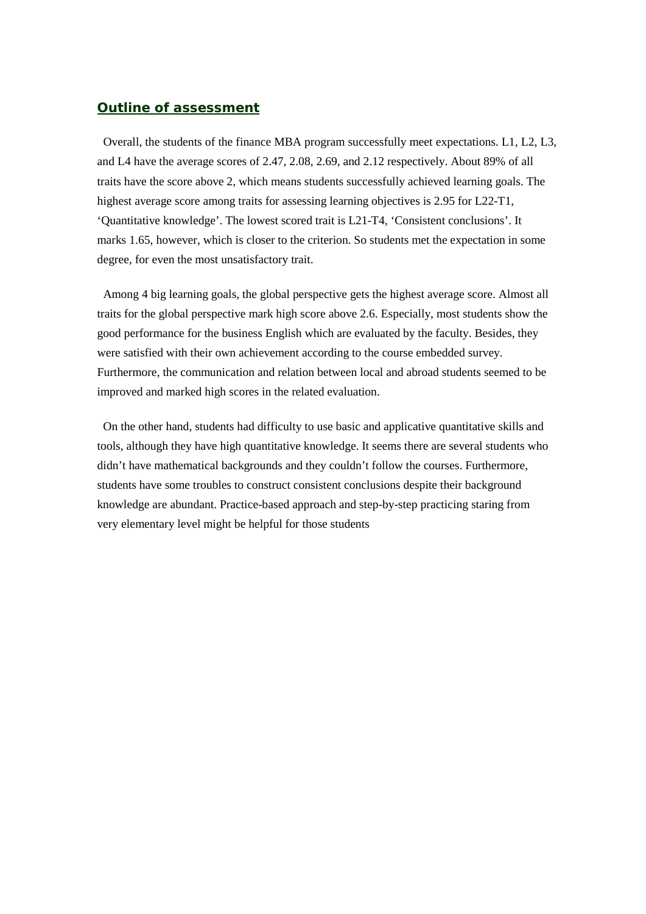#### *Outline of assessment*

Overall, the students of the finance MBA program successfully meet expectations. L1, L2, L3, and L4 have the average scores of 2.47, 2.08, 2.69, and 2.12 respectively. About 89% of all traits have the score above 2, which means students successfully achieved learning goals. The highest average score among traits for assessing learning objectives is 2.95 for L22-T1, 'Quantitative knowledge'. The lowest scored trait is L21-T4, 'Consistent conclusions'. It marks 1.65, however, which is closer to the criterion. So students met the expectation in some degree, for even the most unsatisfactory trait.

Among 4 big learning goals, the global perspective gets the highest average score. Almost all traits for the global perspective mark high score above 2.6. Especially, most students show the good performance for the business English which are evaluated by the faculty. Besides, they were satisfied with their own achievement according to the course embedded survey. Furthermore, the communication and relation between local and abroad students seemed to be improved and marked high scores in the related evaluation.

On the other hand, students had difficulty to use basic and applicative quantitative skills and tools, although they have high quantitative knowledge. It seems there are several students who didn't have mathematical backgrounds and they couldn't follow the courses. Furthermore, students have some troubles to construct consistent conclusions despite their background knowledge are abundant. Practice-based approach and step-by-step practicing staring from very elementary level might be helpful for those students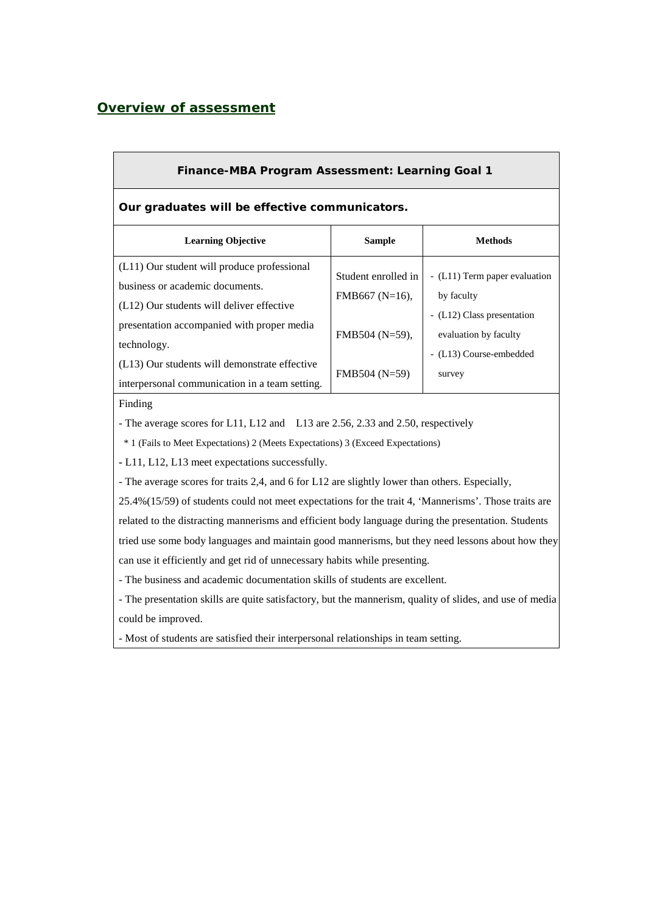### *Overview of assessment*

| <b>Finance-MBA Program Assessment: Learning Goal 1</b>                                                                                                                                   |                                                             |                                                                                                                               |  |  |  |  |  |  |  |
|------------------------------------------------------------------------------------------------------------------------------------------------------------------------------------------|-------------------------------------------------------------|-------------------------------------------------------------------------------------------------------------------------------|--|--|--|--|--|--|--|
| Our graduates will be effective communicators.                                                                                                                                           |                                                             |                                                                                                                               |  |  |  |  |  |  |  |
| <b>Learning Objective</b>                                                                                                                                                                | <b>Sample</b>                                               | <b>Methods</b>                                                                                                                |  |  |  |  |  |  |  |
| (L11) Our student will produce professional<br>business or academic documents.<br>(L12) Our students will deliver effective<br>presentation accompanied with proper media<br>technology. | Student enrolled in<br>FMB667 ( $N=16$ ),<br>FMB504 (N=59), | - (L11) Term paper evaluation<br>by faculty<br>- (L12) Class presentation<br>evaluation by faculty<br>- (L13) Course-embedded |  |  |  |  |  |  |  |
| (L13) Our students will demonstrate effective<br>interpersonal communication in a team setting.                                                                                          | $FMB504 (N=59)$                                             | survey                                                                                                                        |  |  |  |  |  |  |  |
| Finding<br>- The average scores for L11, L12 and L13 are 2.56, 2.33 and 2.50, respectively                                                                                               |                                                             |                                                                                                                               |  |  |  |  |  |  |  |

\* 1 (Fails to Meet Expectations) 2 (Meets Expectations) 3 (Exceed Expectations)

**-** L11, L12, L13 meet expectations successfully.

- The average scores for traits 2,4, and 6 for L12 are slightly lower than others. Especially,

25.4%(15/59) of students could not meet expectations for the trait 4, 'Mannerisms'. Those traits are related to the distracting mannerisms and efficient body language during the presentation. Students tried use some body languages and maintain good mannerisms, but they need lessons about how they can use it efficiently and get rid of unnecessary habits while presenting.

- The business and academic documentation skills of students are excellent.

- The presentation skills are quite satisfactory, but the mannerism, quality of slides, and use of media could be improved.

- Most of students are satisfied their interpersonal relationships in team setting.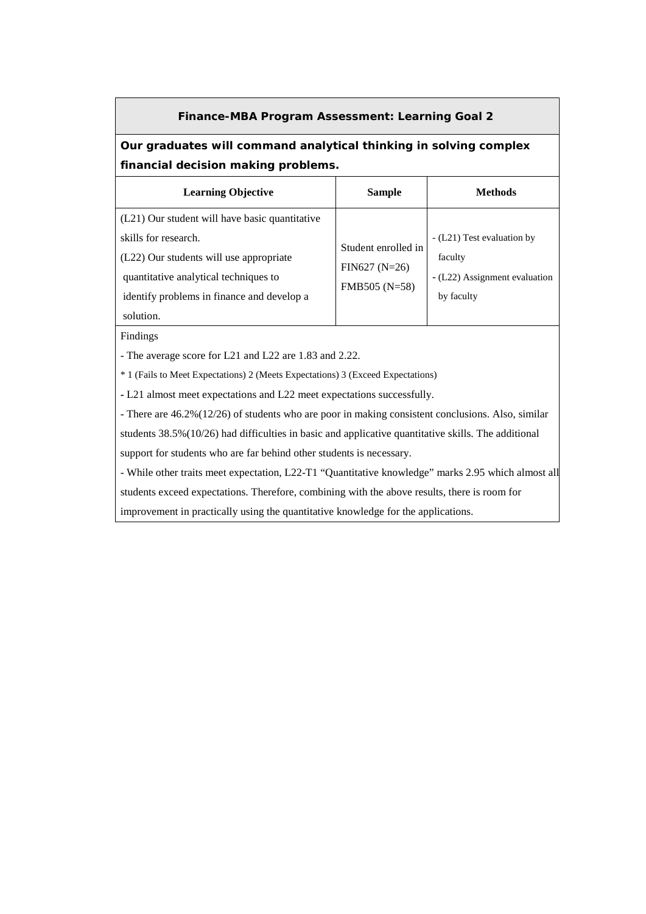#### **Finance-MBA Program Assessment: Learning Goal 2**

### **Our graduates will command analytical thinking in solving complex financial decision making problems.**

| <b>Learning Objective</b>                      | <b>Sample</b>       | Methods                       |
|------------------------------------------------|---------------------|-------------------------------|
| (L21) Our student will have basic quantitative |                     |                               |
| skills for research.                           | Student enrolled in | - (L21) Test evaluation by    |
| (L22) Our students will use appropriate        | $FIN627 (N=26)$     | faculty                       |
| quantitative analytical techniques to          | FMB505 (N=58)       | - (L22) Assignment evaluation |
| identify problems in finance and develop a     |                     | by faculty                    |
| solution.                                      |                     |                               |

Findings

- The average score for L21 and L22 are 1.83 and 2.22.

\* 1 (Fails to Meet Expectations) 2 (Meets Expectations) 3 (Exceed Expectations)

**-** L21 almost meet expectations and L22 meet expectations successfully.

- There are 46.2%(12/26) of students who are poor in making consistent conclusions. Also, similar

students 38.5%(10/26) had difficulties in basic and applicative quantitative skills. The additional

support for students who are far behind other students is necessary.

- While other traits meet expectation, L22-T1 "Quantitative knowledge" marks 2.95 which almost all

students exceed expectations. Therefore, combining with the above results, there is room for

improvement in practically using the quantitative knowledge for the applications.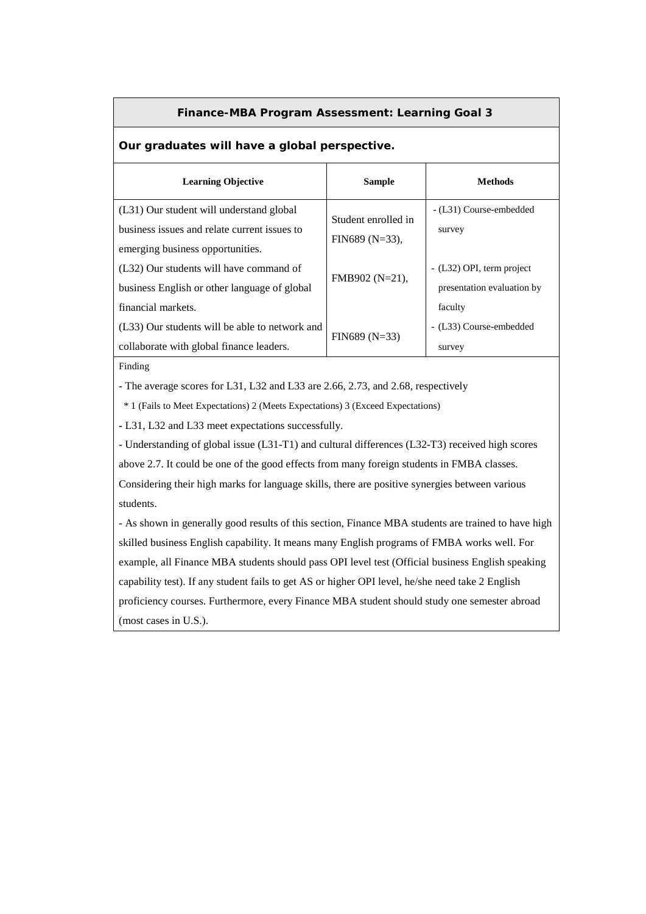#### **Finance-MBA Program Assessment: Learning Goal 3**

#### **Our graduates will have a global perspective.**

| <b>Learning Objective</b>                                                                | <b>Sample</b>       | <b>Methods</b>                    |
|------------------------------------------------------------------------------------------|---------------------|-----------------------------------|
| (L31) Our student will understand global<br>business issues and relate current issues to | Student enrolled in | - (L31) Course-embedded<br>survey |
| emerging business opportunities.                                                         | $FIN689 (N=33)$ ,   |                                   |
| (L32) Our students will have command of                                                  | FMB902 (N=21),      | - (L32) OPI, term project         |
| business English or other language of global                                             |                     | presentation evaluation by        |
| financial markets.                                                                       |                     | faculty                           |
| (L33) Our students will be able to network and                                           | $FIN689 (N=33)$     | - (L33) Course-embedded           |
| collaborate with global finance leaders.                                                 |                     | survey                            |

Finding

- The average scores for L31, L32 and L33 are 2.66, 2.73, and 2.68, respectively

\* 1 (Fails to Meet Expectations) 2 (Meets Expectations) 3 (Exceed Expectations)

**-** L31, L32 and L33 meet expectations successfully.

- Understanding of global issue (L31-T1) and cultural differences (L32-T3) received high scores above 2.7. It could be one of the good effects from many foreign students in FMBA classes. Considering their high marks for language skills, there are positive synergies between various students.

- As shown in generally good results of this section, Finance MBA students are trained to have high skilled business English capability. It means many English programs of FMBA works well. For example, all Finance MBA students should pass OPI level test (Official business English speaking capability test). If any student fails to get AS or higher OPI level, he/she need take 2 English proficiency courses. Furthermore, every Finance MBA student should study one semester abroad (most cases in U.S.).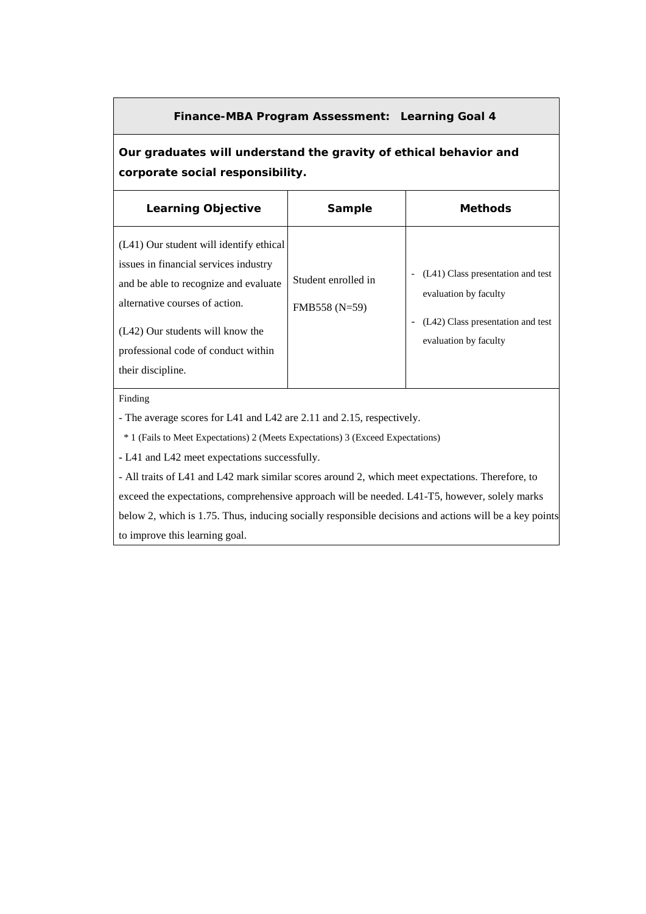#### **Finance-MBA Program Assessment: Learning Goal 4**

## **Our graduates will understand the gravity of ethical behavior and corporate social responsibility.**

| <b>Learning Objective</b>                                                                                                                                                                                                                                   | Sample                               | <b>Methods</b>                                                                                                           |
|-------------------------------------------------------------------------------------------------------------------------------------------------------------------------------------------------------------------------------------------------------------|--------------------------------------|--------------------------------------------------------------------------------------------------------------------------|
| (L41) Our student will identify ethical<br>issues in financial services industry<br>and be able to recognize and evaluate<br>alternative courses of action.<br>(L42) Our students will know the<br>professional code of conduct within<br>their discipline. | Student enrolled in<br>FMB558 (N=59) | (L41) Class presentation and test<br>evaluation by faculty<br>(L42) Class presentation and test<br>evaluation by faculty |

Finding

- The average scores for L41 and L42 are 2.11 and 2.15, respectively.

\* 1 (Fails to Meet Expectations) 2 (Meets Expectations) 3 (Exceed Expectations)

**-** L41 and L42 meet expectations successfully.

- All traits of L41 and L42 mark similar scores around 2, which meet expectations. Therefore, to exceed the expectations, comprehensive approach will be needed. L41-T5, however, solely marks below 2, which is 1.75. Thus, inducing socially responsible decisions and actions will be a key points to improve this learning goal.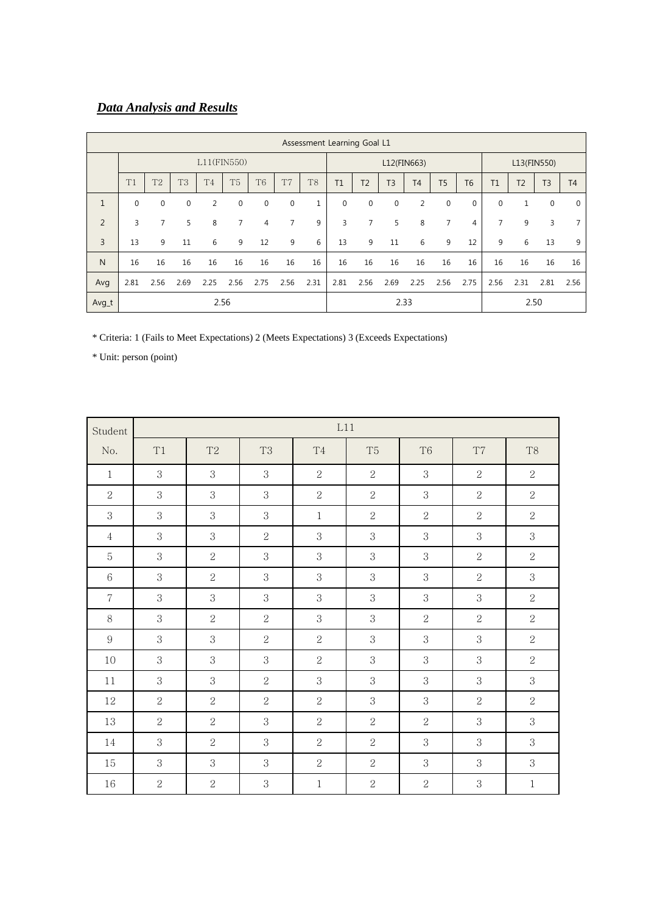# *Data Analysis and Results*

|                | Assessment Learning Goal L1 |                |                |                |                |                |                |                |             |                |                |                |                |             |                |                |                |                |
|----------------|-----------------------------|----------------|----------------|----------------|----------------|----------------|----------------|----------------|-------------|----------------|----------------|----------------|----------------|-------------|----------------|----------------|----------------|----------------|
| $L11$ (FIN550) |                             |                |                |                |                |                |                | L12(FIN663)    |             |                |                | L13(FIN550)    |                |             |                |                |                |                |
|                | T1                          | T <sub>2</sub> | T <sub>3</sub> | T <sub>4</sub> | T <sub>5</sub> | T <sub>6</sub> | T <sub>7</sub> | T <sub>8</sub> | T1          | T <sub>2</sub> | T <sub>3</sub> | T <sub>4</sub> | T <sub>5</sub> | <b>T6</b>   | T1             | T <sub>2</sub> | T <sub>3</sub> | T <sub>4</sub> |
| 1              | $\mathbf{0}$                | $\mathbf{0}$   | $\mathbf 0$    | 2              | $\mathbf{0}$   | $\mathbf 0$    | $\mathbf 0$    | $\mathbf{1}$   | $\mathbf 0$ | $\mathbf 0$    | $\mathbf 0$    | 2              | $\mathbf 0$    | $\mathbf 0$ | $\mathbf{0}$   | $\mathbf{1}$   | $\mathbf 0$    | $\mathbf{0}$   |
| $\overline{2}$ | 3                           | 7              | 5              | 8              | $\overline{7}$ | $\overline{4}$ | $\overline{7}$ | 9              | 3           | 7              | 5              | 8              | 7              | 4           | $\overline{7}$ | 9              | 3              | 7              |
| 3              | 13                          | 9              | 11             | 6              | 9              | 12             | 9              | 6              | 13          | 9              | 11             | 6              | 9              | 12          | 9              | 6              | 13             | 9              |
| $\mathsf{N}$   | 16                          | 16             | 16             | 16             | 16             | 16             | 16             | 16             | 16          | 16             | 16             | 16             | 16             | 16          | 16             | 16             | 16             | 16             |
| Avg            | 2.81                        | 2.56           | 2.69           | 2.25           | 2.56           | 2.75           | 2.56           | 2.31           | 2.81        | 2.56           | 2.69           | 2.25           | 2.56           | 2.75        | 2.56           | 2.31           | 2.81           | 2.56           |
| Avg_t          |                             |                |                | 2.56           |                |                |                |                |             |                |                | 2.33           |                |             |                | 2.50           |                |                |

\* Criteria: 1 (Fails to Meet Expectations) 2 (Meets Expectations) 3 (Exceeds Expectations)

| Student         | L11            |                |                |                |                |                |                |                |
|-----------------|----------------|----------------|----------------|----------------|----------------|----------------|----------------|----------------|
| No.             | T1             | $\mathrm{T}2$  | T <sub>3</sub> | T <sub>4</sub> | T <sub>5</sub> | T <sub>6</sub> | $\rm{T}7$      | T <sub>8</sub> |
| $\mathbf{1}$    | 3              | 3              | 3              | $\mathbf{2}$   | 2              | 3              | $\overline{2}$ | $\overline{2}$ |
| $\mathbf{2}$    | 3              | 3              | $\,3$          | $\overline{2}$ | $\overline{2}$ | 3              | $\overline{2}$ | $\overline{2}$ |
| 3               | 3              | 3              | 3              | $\mathbf{1}$   | $\overline{2}$ | $\overline{2}$ | $\overline{2}$ | $\overline{2}$ |
| $\overline{4}$  | 3              | 3              | $\overline{2}$ | 3              | 3              | 3              | 3              | 3              |
| 5               | 3              | $\overline{2}$ | 3              | 3              | 3              | 3              | $\overline{2}$ | $\overline{2}$ |
| $6\phantom{.}6$ | 3              | $\overline{2}$ | 3              | 3              | 3              | 3              | $\overline{2}$ | 3              |
| $\overline{7}$  | 3              | 3              | 3              | 3              | 3              | 3              | 3              | $\overline{2}$ |
| $8\,$           | 3              | $\overline{2}$ | $\sqrt{2}$     | 3              | 3              | $\overline{2}$ | $\overline{2}$ | $\overline{2}$ |
| 9               | 3              | 3              | $\overline{2}$ | $\overline{2}$ | 3              | 3              | 3              | $\overline{2}$ |
| 10              | 3              | 3              | 3              | $\overline{2}$ | 3              | 3              | 3              | $\overline{2}$ |
| 11              | 3              | 3              | $\overline{2}$ | 3              | 3              | 3              | 3              | 3              |
| 12              | 2              | $\overline{2}$ | $\overline{2}$ | $\overline{2}$ | 3              | 3              | $\overline{2}$ | $\overline{2}$ |
| 13              | 2              | $\overline{2}$ | 3              | $\overline{2}$ | $\overline{2}$ | $\overline{2}$ | 3              | 3              |
| 14              | 3              | $\overline{2}$ | 3              | $\overline{2}$ | $\overline{2}$ | 3              | 3              | 3              |
| 15              | 3              | 3              | 3              | $\overline{2}$ | 2              | 3              | 3              | 3              |
| 16              | $\overline{2}$ | $\overline{2}$ | 3              | $\mathbf{1}$   | $\overline{2}$ | $\overline{2}$ | 3              | $\mathbf{1}$   |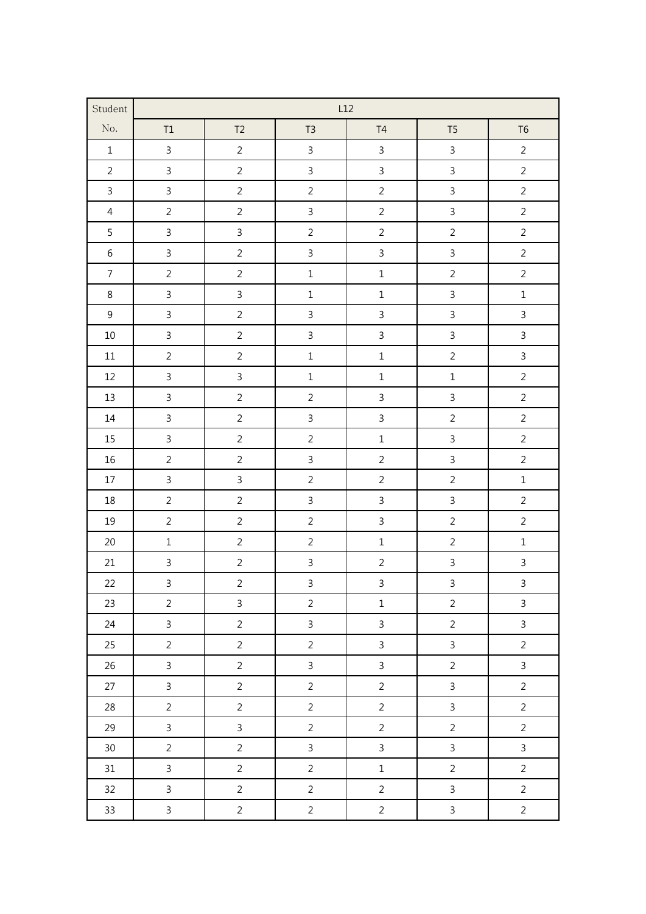| Student        | L12            |                         |                |                |                |                |  |  |
|----------------|----------------|-------------------------|----------------|----------------|----------------|----------------|--|--|
| No.            | $\mathsf{T1}$  | T <sub>2</sub>          | T <sub>3</sub> | T <sub>4</sub> | T <sub>5</sub> | T <sub>6</sub> |  |  |
| $\,1\,$        | $\overline{3}$ | $\overline{2}$          | $\mathbf{3}$   | $\mathsf{3}$   | $\overline{3}$ | $\overline{2}$ |  |  |
| $\overline{2}$ | $\overline{3}$ | $\overline{2}$          | $\overline{3}$ | $\overline{3}$ | $\overline{3}$ | $\overline{2}$ |  |  |
| $\mathsf{3}$   | $\overline{3}$ | $\overline{2}$          | $\overline{2}$ | $\overline{2}$ | $\overline{3}$ | $\overline{2}$ |  |  |
| $\overline{4}$ | $\overline{2}$ | $\overline{2}$          | $\mathsf{3}$   | $\overline{2}$ | $\mathbf{3}$   | $\overline{2}$ |  |  |
| $\overline{5}$ | $\overline{3}$ | $\overline{3}$          | $\overline{2}$ | $\overline{2}$ | $\overline{2}$ | $\overline{2}$ |  |  |
| $\,6\,$        | $\overline{3}$ | $\overline{2}$          | $\overline{3}$ | $\overline{3}$ | $\overline{3}$ | $\overline{2}$ |  |  |
| $\overline{7}$ | $\overline{2}$ | $\overline{2}$          | $\mathbf 1$    | $\mathbf 1$    | $\overline{2}$ | $\overline{2}$ |  |  |
| $\,8\,$        | $\overline{3}$ | $\overline{3}$          | $\mathbf 1$    | $\mathbf 1$    | $\mathbf{3}$   | $\mathbf 1$    |  |  |
| $\overline{9}$ | $\overline{3}$ | $\overline{2}$          | $\overline{3}$ | $\mathsf{3}$   | $\overline{3}$ | $\overline{3}$ |  |  |
| $10\,$         | $\overline{3}$ | $\overline{2}$          | $\mathsf{3}$   | $\mathbf{3}$   | $\mathbf{3}$   | $\overline{3}$ |  |  |
| $11\,$         | $\overline{2}$ | $\overline{2}$          | $\mathbf 1$    | $\mathbf 1$    | $\overline{c}$ | $\overline{3}$ |  |  |
| $12\,$         | $\overline{3}$ | $\overline{3}$          | $\mathbf 1$    | $\mathbf 1$    | $\mathbf 1$    | $\overline{2}$ |  |  |
| 13             | $\overline{3}$ | $\overline{2}$          | $\overline{2}$ | $\mathsf{3}$   | $\overline{3}$ | $\overline{2}$ |  |  |
| $14\,$         | $\overline{3}$ | $\overline{2}$          | $\overline{3}$ | $\overline{3}$ | $\overline{2}$ | $\overline{2}$ |  |  |
| 15             | $\overline{3}$ | $\overline{2}$          | $\overline{2}$ | $\mathbf 1$    | $\overline{3}$ | $\overline{2}$ |  |  |
| $16\,$         | $\overline{2}$ | $\overline{2}$          | $\mathsf{3}$   | $\overline{2}$ | $\mathbf{3}$   | $\overline{2}$ |  |  |
| $17\,$         | $\overline{3}$ | $\overline{3}$          | $\overline{2}$ | $\overline{2}$ | $\overline{2}$ | $\mathbf 1$    |  |  |
| 18             | $\overline{2}$ | $\overline{2}$          | $\overline{3}$ | $\overline{3}$ | $\overline{3}$ | $\overline{2}$ |  |  |
| 19             | $\overline{2}$ | $\overline{2}$          | $\overline{2}$ | $\overline{3}$ | $\overline{2}$ | $\overline{2}$ |  |  |
| 20             | $\mathbf 1$    | $\overline{2}$          | $\overline{2}$ | $\mathbf 1$    | $\overline{2}$ | $\mathbf 1$    |  |  |
| 21             | $\overline{3}$ | $\overline{2}$          | $\overline{3}$ | $\overline{2}$ | $\mathbf{3}$   | $\overline{3}$ |  |  |
| 22             | $\overline{3}$ | $\overline{c}$          | $\frac{3}{2}$  | $\overline{3}$ | $\mathbf{3}$   | $\overline{3}$ |  |  |
| 23             | $\overline{2}$ | $\overline{3}$          | $\overline{a}$ | $\mathbf 1$    | $\overline{a}$ | $\overline{3}$ |  |  |
| 24             | $\mathsf{3}$   | $\overline{c}$          | $\overline{3}$ | $\overline{3}$ | $\overline{c}$ | $\mathbf{3}$   |  |  |
| $25\,$         | $\overline{a}$ | $\overline{c}$          | $\overline{2}$ | $\mathbf{3}$   | $\overline{3}$ | $\overline{c}$ |  |  |
| 26             | $\overline{3}$ | $\overline{\mathbf{c}}$ | $\overline{3}$ | $\mathbf{3}$   | $\overline{c}$ | $\overline{3}$ |  |  |
| $27\,$         | $\overline{3}$ | $\overline{2}$          | $\overline{2}$ | $\overline{c}$ | $\overline{3}$ | $\overline{2}$ |  |  |
| $28\,$         | $\overline{a}$ | $\overline{c}$          | $\overline{c}$ | $\overline{2}$ | $\overline{3}$ | $\overline{c}$ |  |  |
| 29             | $\overline{3}$ | $\overline{\mathbf{3}}$ | $\overline{2}$ | $\overline{2}$ | $\overline{c}$ | $\overline{c}$ |  |  |
| $30\,$         | $\overline{2}$ | $\overline{c}$          | $\mathbf{3}$   | $\mathbf{3}$   | $\overline{3}$ | $\mathbf{3}$   |  |  |
| 31             | $\overline{3}$ | $\overline{2}$          | $\overline{2}$ | $\mathbf 1$    | $\overline{2}$ | $\overline{2}$ |  |  |
| $32\,$         | $\overline{3}$ | $\overline{c}$          | $\overline{2}$ | $\overline{c}$ | $\overline{3}$ | $\overline{c}$ |  |  |
| $33\,$         | $\mathbf{3}$   | $\overline{c}$          | $\overline{a}$ | $\overline{c}$ | $\mathbf{3}$   | $\overline{2}$ |  |  |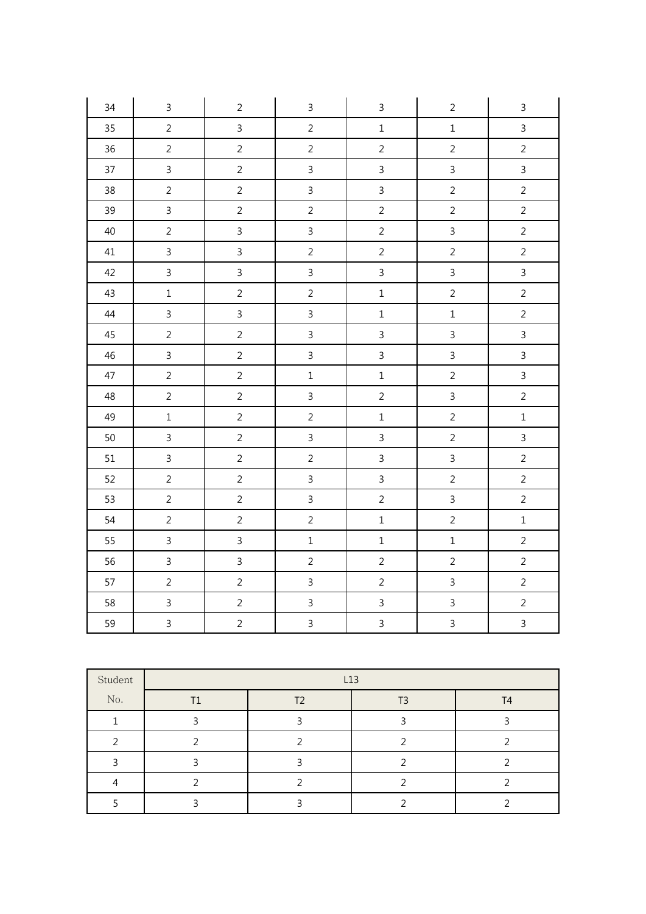| 34     | $\mathsf{3}$   | $\overline{2}$ | $\mathbf{3}$   | $\mathsf{3}$   | $\overline{2}$          | $\mathbf{3}$   |
|--------|----------------|----------------|----------------|----------------|-------------------------|----------------|
| 35     | $\overline{2}$ | $\overline{3}$ | $\overline{2}$ | $\mathbf 1$    | $\mathbf 1$             | $\overline{3}$ |
| 36     | $\overline{2}$ | $\overline{2}$ | $\overline{2}$ | $\overline{2}$ | $\overline{2}$          | $\overline{2}$ |
| 37     | $\overline{3}$ | $\overline{2}$ | $\mathbf{3}$   | $\overline{3}$ | $\mathsf{3}$            | $\overline{3}$ |
| 38     | $\overline{2}$ | $\overline{2}$ | $\overline{3}$ | $\overline{3}$ | $\overline{2}$          | $\overline{2}$ |
| 39     | $\overline{3}$ | $\overline{2}$ | $\overline{2}$ | $\overline{2}$ | $\overline{2}$          | $\overline{2}$ |
| $40\,$ | $\overline{2}$ | $\mathbf{3}$   | $\mathbf{3}$   | $\overline{2}$ | $\mathfrak{Z}$          | $\overline{2}$ |
| 41     | $\overline{3}$ | $\overline{3}$ | $\overline{2}$ | $\overline{2}$ | $\overline{2}$          | $\overline{2}$ |
| 42     | $\overline{3}$ | $\overline{3}$ | $\mathbf{3}$   | $\overline{3}$ | $\overline{3}$          | $\overline{3}$ |
| 43     | $\mathbf 1$    | $\overline{2}$ | $\overline{2}$ | $\mathbf 1$    | $\overline{2}$          | $\overline{2}$ |
| 44     | $\mathsf{3}$   | $\overline{3}$ | $\overline{3}$ | $\mathbf 1$    | $\,1\,$                 | $\overline{2}$ |
| 45     | $\overline{2}$ | $\overline{2}$ | $\mathbf{3}$   | $\mathsf{3}$   | $\overline{3}$          | $\mathbf{3}$   |
| $46\,$ | $\mathsf{3}$   | $\overline{2}$ | $\mathbf{3}$   | $\mathbf{3}$   | $\mathbf{3}$            | $\mathbf{3}$   |
| $47\,$ | $\overline{2}$ | $\overline{2}$ | $\mathbf{1}$   | $\mathbf 1$    | $\overline{2}$          | $\overline{3}$ |
| 48     | $\overline{2}$ | $\overline{2}$ | $\mathbf{3}$   | $\overline{2}$ | $\overline{3}$          | $\overline{2}$ |
| 49     | $\mathbf 1$    | $\overline{2}$ | $\overline{2}$ | $\mathbf 1$    | $\overline{2}$          | $\mathbf 1$    |
| 50     | $\overline{3}$ | $\overline{2}$ | $\overline{3}$ | $\overline{3}$ | $\overline{2}$          | $\overline{3}$ |
| 51     | $\overline{3}$ | $\overline{2}$ | $\overline{2}$ | $\overline{3}$ | $\overline{3}$          | $\overline{2}$ |
| 52     | $\overline{2}$ | $\overline{2}$ | $\overline{3}$ | $\overline{3}$ | $\overline{c}$          | $\overline{2}$ |
| 53     | $\overline{2}$ | $\overline{2}$ | $\overline{3}$ | $\overline{2}$ | $\overline{3}$          | $\overline{2}$ |
| 54     | $\overline{2}$ | $\overline{2}$ | $\overline{2}$ | $\mathbf 1$    | $\overline{2}$          | $\mathbf 1$    |
| 55     | $\overline{3}$ | $\overline{3}$ | $\mathbf 1$    | $\mathbf 1$    | $\mathbf 1$             | $\overline{2}$ |
| 56     | $\overline{3}$ | $\overline{3}$ | $\overline{2}$ | $\overline{2}$ | $\overline{2}$          | $\overline{2}$ |
| 57     | $\overline{2}$ | $\overline{2}$ | $\mathsf{3}$   | $\overline{2}$ | $\overline{3}$          | $\overline{2}$ |
| 58     | $\overline{3}$ | $\overline{2}$ | $\overline{3}$ | $\overline{3}$ | $\overline{3}$          | $\overline{2}$ |
| 59     | $\overline{3}$ | $\overline{2}$ | $\overline{3}$ | $\overline{3}$ | $\overline{\mathbf{3}}$ | $\overline{3}$ |

| Student | L13 |    |  |                |  |  |  |  |  |
|---------|-----|----|--|----------------|--|--|--|--|--|
| No.     | T1  | Τ2 |  | T <sub>4</sub> |  |  |  |  |  |
|         |     |    |  |                |  |  |  |  |  |
|         |     |    |  |                |  |  |  |  |  |
|         |     |    |  |                |  |  |  |  |  |
|         |     |    |  |                |  |  |  |  |  |
|         |     |    |  |                |  |  |  |  |  |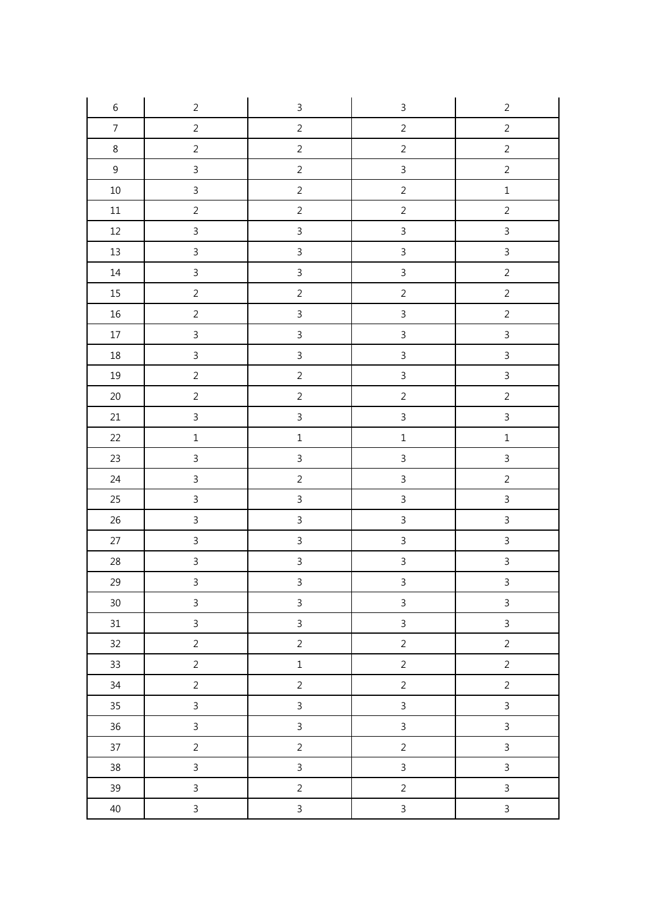| $\,$ 6 $\,$              | $\overline{2}$ | $\mathsf 3$    | $\mathsf{3}$   | $\sqrt{2}$     |
|--------------------------|----------------|----------------|----------------|----------------|
| $\overline{\mathcal{I}}$ | $\overline{2}$ | $\overline{c}$ | $\overline{c}$ | $\overline{c}$ |
| $\,8\,$                  | $\overline{2}$ | $\overline{2}$ | $\overline{2}$ | $\sqrt{2}$     |
| $\boldsymbol{9}$         | $\overline{3}$ | $\overline{c}$ | $\overline{3}$ | $\overline{c}$ |
| $10\,$                   | $\overline{3}$ | $\overline{c}$ | $\overline{2}$ | $\mathbf 1$    |
| $11\,$                   | $\sqrt{2}$     | $\overline{c}$ | $\overline{c}$ | $\overline{c}$ |
| 12                       | $\overline{3}$ | $\mathsf{3}$   | $\overline{3}$ | $\overline{3}$ |
| $13\,$                   | $\overline{3}$ | $\overline{3}$ | $\overline{3}$ | $\overline{3}$ |
| $14\,$                   | $\mathbf{3}$   | $\mathbf{3}$   | $\overline{3}$ | $\overline{c}$ |
| $15\,$                   | $\overline{2}$ | $\overline{2}$ | $\overline{2}$ | $\overline{2}$ |
| $16\,$                   | $\overline{2}$ | $\overline{3}$ | $\overline{3}$ | $\overline{2}$ |
| $17\,$                   | $\overline{3}$ | $\mathbf{3}$   | $\overline{3}$ | $\overline{3}$ |
| $18\,$                   | $\overline{3}$ | $\mathbf{3}$   | $\overline{3}$ | $\overline{3}$ |
| 19                       | $\overline{2}$ | $\overline{c}$ | $\overline{3}$ | $\overline{3}$ |
| $20\,$                   | $\overline{2}$ | $\overline{2}$ | $\overline{2}$ | $\overline{2}$ |
| $21\,$                   | $\overline{3}$ | $\mathbf{3}$   | $\overline{3}$ | $\overline{3}$ |
| 22                       | $\mathbf 1$    | $\mathbf 1$    | $\mathbf 1$    | $\mathbf 1$    |
| $23\,$                   | $\mathbf{3}$   | $\mathbf{3}$   | $\overline{3}$ | $\overline{3}$ |
| 24                       | $\mathfrak{Z}$ | $\overline{c}$ | $\overline{3}$ | $\overline{c}$ |
| 25                       | $\overline{3}$ | $\overline{3}$ | $\overline{3}$ | $\overline{3}$ |
| $26\,$                   | $\overline{3}$ | $\mathbf{3}$   | $\mathfrak{Z}$ | $\overline{3}$ |
| $27\,$                   | $\mathsf{3}$   | $\mathbf{3}$   | $\mathfrak{Z}$ | $\overline{3}$ |
| $28\,$                   | $\overline{3}$ | $\overline{3}$ | $\overline{3}$ | $\overline{3}$ |
| 29                       | $\mathbf{3}$   | $\overline{3}$ | $\overline{3}$ | $\overline{3}$ |
| $30\,$                   | $\overline{3}$ | $\mathbf{3}$   | $\mathbf{3}$   | $\mathbf{3}$   |
| 31                       | $\overline{3}$ | $\overline{3}$ | $\overline{3}$ | $\overline{3}$ |
| 32                       | $\overline{2}$ | $\overline{2}$ | $\overline{2}$ | $\overline{c}$ |
| 33                       | $\overline{2}$ | $\,1$          | $\overline{2}$ | $\overline{2}$ |
| 34                       | $\overline{2}$ | $\overline{2}$ | $\overline{2}$ | $\overline{2}$ |
| $35\,$                   | $\mathbf{3}$   | $\mathbf{3}$   | $\overline{3}$ | $\mathbf{3}$   |
| 36                       | $\overline{3}$ | $\mathbf{3}$   | $\overline{3}$ | $\mathbf{3}$   |
| 37                       | $\overline{2}$ | $\overline{2}$ | $\overline{2}$ | $\overline{3}$ |
| 38                       | $\overline{3}$ | $\mathbf{3}$   | $\overline{3}$ | $\overline{3}$ |
| 39                       | $\mathbf{3}$   | $\overline{2}$ | $\overline{c}$ | $\overline{3}$ |
| $40\,$                   | $\mathbf{3}$   | $\mathfrak{Z}$ | $\mathbf{3}$   | $\overline{3}$ |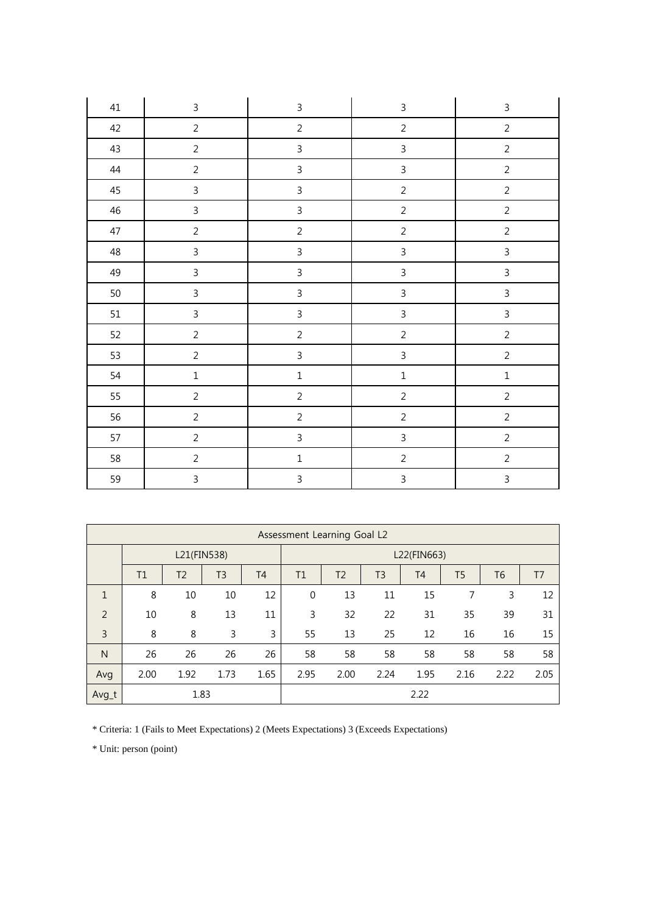| 41     | $\mathbf{3}$   | $\mathsf{3}$   | $\mathsf{3}$            | $\mathsf 3$    |
|--------|----------------|----------------|-------------------------|----------------|
| 42     | $\overline{2}$ | $\overline{2}$ | $\overline{2}$          | $\overline{2}$ |
| 43     | $\overline{2}$ | $\mathbf{3}$   | $\overline{3}$          | $\overline{2}$ |
| $44\,$ | $\overline{2}$ | $\mathbf{3}$   | $\overline{3}$          | $\overline{2}$ |
| 45     | $\mathsf 3$    | $\mathbf{3}$   | $\overline{c}$          | $\overline{2}$ |
| 46     | $\mathsf{3}$   | $\mathbf{3}$   | $\overline{c}$          | $\overline{2}$ |
| $47\,$ | $\overline{2}$ | $\overline{c}$ | $\overline{2}$          | $\overline{2}$ |
| 48     | $\mathsf{3}$   | $\mathbf{3}$   | $\overline{3}$          | $\mathsf{3}$   |
| 49     | $\mathsf{3}$   | $\mathbf{3}$   | $\overline{3}$          | $\overline{3}$ |
| $50\,$ | $\mathsf{3}$   | $\mathbf{3}$   | $\overline{\mathbf{3}}$ | $\overline{3}$ |
| 51     | $\mathsf 3$    | $\mathsf{3}$   | $\overline{\mathbf{3}}$ | $\mathsf{3}$   |
| 52     | $\overline{2}$ | $\sqrt{2}$     | $\overline{c}$          | $\sqrt{2}$     |
| 53     | $\overline{2}$ | $\overline{3}$ | $\overline{\mathbf{3}}$ | $\overline{2}$ |
| 54     | $\mathbf 1$    | $\mathbf 1$    | $\mathbf{1}$            | $\mathbf 1$    |
| 55     | $\sqrt{2}$     | $\overline{2}$ | $\overline{2}$          | $\sqrt{2}$     |
| 56     | $\overline{2}$ | $\overline{2}$ | $\overline{c}$          | $\overline{2}$ |
| 57     | $\overline{c}$ | $\mathfrak{Z}$ | $\overline{3}$          | $\sqrt{2}$     |
| 58     | $\overline{2}$ | $\mathbf 1$    | $\overline{c}$          | $\overline{2}$ |
| 59     | $\mathsf{3}$   | $\mathsf{3}$   | $\overline{3}$          | $\overline{3}$ |

|                | Assessment Learning Goal L2 |                |                |                |              |                |                |           |                |                |                |
|----------------|-----------------------------|----------------|----------------|----------------|--------------|----------------|----------------|-----------|----------------|----------------|----------------|
|                | L21(FIN538)<br>L22(FIN663)  |                |                |                |              |                |                |           |                |                |                |
|                | T1                          | T <sub>2</sub> | T <sub>3</sub> | T <sub>4</sub> | T1           | T <sub>2</sub> | T <sub>3</sub> | <b>T4</b> | T <sub>5</sub> | T <sub>6</sub> | T <sub>7</sub> |
| $\mathbf{1}$   | 8                           | 10             | 10             | 12             | $\mathbf{0}$ | 13             | 11             | 15        | 7              | 3              | 12             |
| 2              | 10                          | 8              | 13             | 11             | 3            | 32             | 22             | 31        | 35             | 39             | 31             |
| $\overline{3}$ | 8                           | 8              | 3              | 3              | 55           | 13             | 25             | 12        | 16             | 16             | 15             |
| N              | 26                          | 26             | 26             | 26             | 58           | 58             | 58             | 58        | 58             | 58             | 58             |
| Avg            | 2.00                        | 1.92           | 1.73           | 1.65           | 2.95         | 2.00           | 2.24           | 1.95      | 2.16           | 2.22           | 2.05           |
| Avg_t          |                             | 1.83           |                |                |              |                |                | 2.22      |                |                |                |

\* Criteria: 1 (Fails to Meet Expectations) 2 (Meets Expectations) 3 (Exceeds Expectations)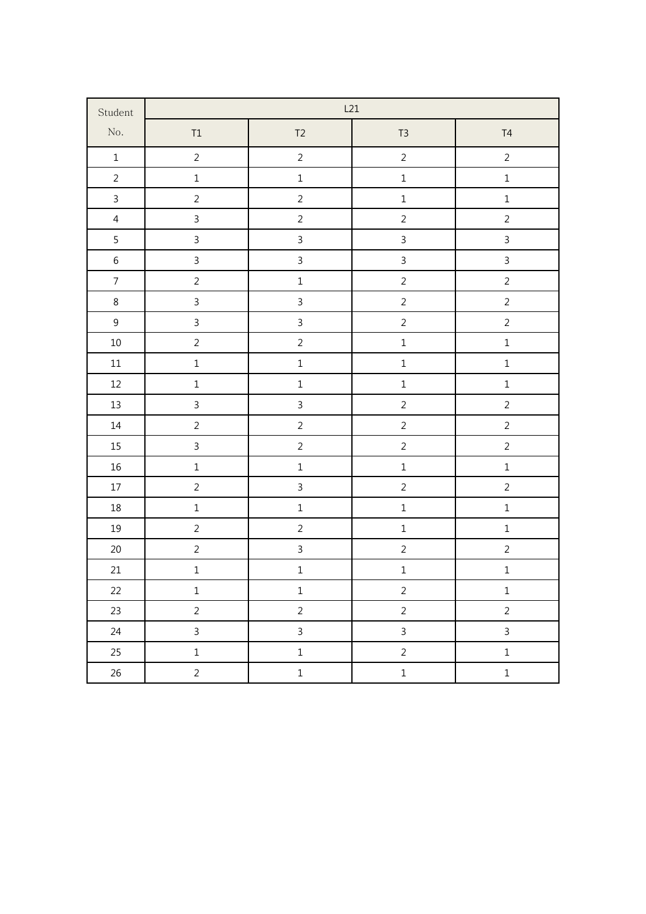| Student          |                |                | L21            |                |
|------------------|----------------|----------------|----------------|----------------|
| $\rm No.$        | $\mathsf{T1}$  | T2             | $T3$           | T4             |
| $\mathbf 1$      | $\overline{2}$ | $\overline{2}$ | $\overline{2}$ | $\overline{2}$ |
| $\overline{2}$   | $\mathbf 1$    | $\mathbf 1$    | $\mathbf 1$    | $\mathbf 1$    |
| $\mathbf{3}$     | $\overline{2}$ | $\overline{2}$ | $\mathbf{1}$   | $\mathbf 1$    |
| $\overline{4}$   | $\overline{3}$ | $\overline{c}$ | $\overline{c}$ | $\overline{2}$ |
| 5                | $\mathfrak{Z}$ | $\overline{3}$ | $\overline{3}$ | $\overline{3}$ |
| $\,$ 6 $\,$      | $\overline{3}$ | $\overline{3}$ | $\overline{3}$ | $\overline{3}$ |
| $\overline{7}$   | $\overline{2}$ | $\mathbf 1$    | $\overline{2}$ | $\overline{2}$ |
| $\bf 8$          | $\overline{3}$ | $\mathbf{3}$   | $\overline{c}$ | $\overline{2}$ |
| $\boldsymbol{9}$ | $\overline{3}$ | $\overline{3}$ | $\overline{2}$ | $\overline{2}$ |
| $10\,$           | $\overline{2}$ | $\overline{c}$ | $\mathbf{1}$   | $\mathbf 1$    |
| $11\,$           | $\mathbf 1$    | $\mathbf 1$    | $\mathbf{1}$   | $\mathbf 1$    |
| $12\,$           | $\mathbf 1$    | $\mathbf 1$    | $\mathbf{1}$   | $\mathbf 1$    |
| $13\,$           | $\overline{3}$ | $\overline{3}$ | $\overline{c}$ | $\overline{2}$ |
| $14\,$           | $\overline{2}$ | $\overline{2}$ | $\overline{2}$ | $\overline{2}$ |
| 15               | $\overline{3}$ | $\overline{2}$ | $\overline{2}$ | $\overline{2}$ |
| $16\,$           | $\mathbf 1$    | $\mathbf 1$    | $\mathbf 1$    | $\mathbf 1$    |
| $17\,$           | $\sqrt{2}$     | $\overline{3}$ | $\overline{c}$ | $\sqrt{2}$     |
| $18\,$           | $\mathbf 1$    | $\mathbf 1$    | $\mathbf{1}$   | $\mathbf 1$    |
| $19\,$           | $\overline{2}$ | $\overline{c}$ | $\mathbf 1$    | $\mathbf 1$    |
| $20\,$           | $\sqrt{2}$     | $\overline{3}$ | $\overline{c}$ | $\overline{c}$ |
| 21               | $\mathbf 1$    | $\mathbf 1$    | $\mathbf 1$    | $\mathbf 1$    |
| 22               | $\mathbf 1$    | $\mathbf 1$    | $\overline{c}$ | $\mathbf 1$    |
| 23               | $\overline{2}$ | $\overline{2}$ | $\overline{2}$ | $\overline{2}$ |
| 24               | $\mathsf{3}$   | $\overline{3}$ | $\mathsf{3}$   | $\mathsf{3}$   |
| 25               | $\mathbf 1$    | $\mathbf 1$    | $\overline{2}$ | $\mathbf 1$    |
| 26               | $\overline{2}$ | $\mathbf 1$    | $\mathbf 1$    | $\mathbf 1$    |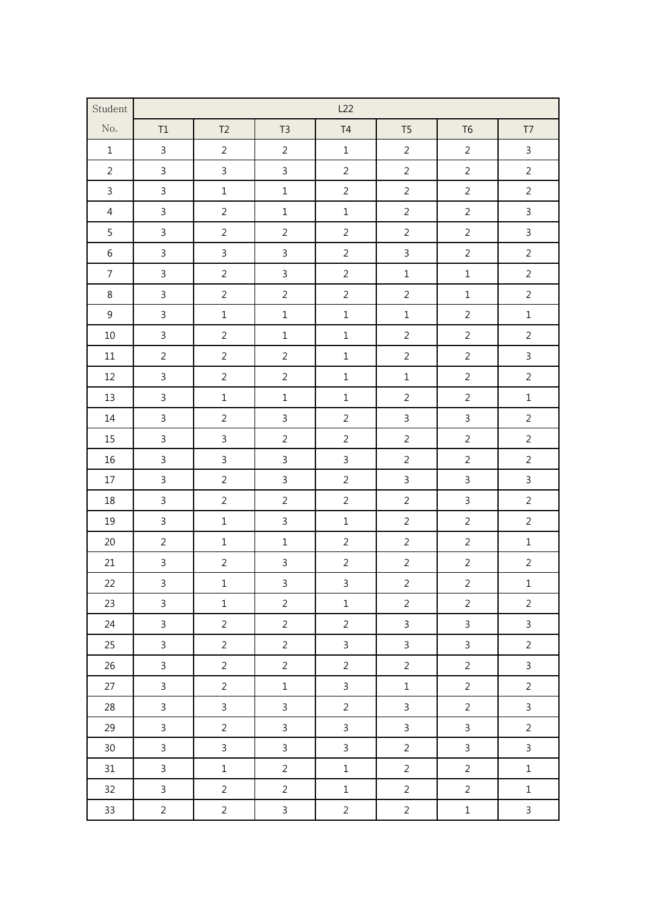| Student          |                |                |                | L22            |                |                |                |
|------------------|----------------|----------------|----------------|----------------|----------------|----------------|----------------|
| No.              | T1             | T <sub>2</sub> | T <sub>3</sub> | $\mathsf{T}4$  | T <sub>5</sub> | T <sub>6</sub> | T7             |
| $\,1\,$          | $\mathsf{3}$   | $\overline{2}$ | $\overline{2}$ | $\mathbf 1$    | $\overline{2}$ | $\overline{2}$ | $\mathsf{3}$   |
| $\overline{2}$   | $\mathbf{3}$   | $\overline{3}$ | $\mathsf{3}$   | $\overline{2}$ | $\overline{2}$ | $\overline{2}$ | $\overline{2}$ |
| $\mathbf{3}$     | $\mathsf{3}$   | $1\,$          | $\mathbf 1$    | $\overline{2}$ | $\overline{2}$ | $\overline{2}$ | $\overline{2}$ |
| $\overline{4}$   | $\overline{3}$ | $\overline{2}$ | $\mathbf 1$    | $\mathbf 1$    | $\overline{2}$ | $\overline{2}$ | $\overline{3}$ |
| 5                | $\mathsf{3}$   | $\overline{2}$ | $\overline{2}$ | $\overline{2}$ | $\overline{2}$ | $\overline{2}$ | $\overline{3}$ |
| $\,6\,$          | $\mathsf{3}$   | $\mathbf{3}$   | $\mathbf{3}$   | $\overline{2}$ | $\mathsf{3}$   | $\overline{2}$ | $\overline{2}$ |
| $\boldsymbol{7}$ | $\mathbf{3}$   | $\overline{2}$ | $\mathsf{3}$   | $\overline{2}$ | $\mathbf 1$    | $\mathbf 1$    | $\sqrt{2}$     |
| $\,8\,$          | $\mathsf{3}$   | $\overline{2}$ | $\overline{2}$ | $\overline{2}$ | $\overline{2}$ | $\mathbf 1$    | $\overline{2}$ |
| $\overline{9}$   | $\mathsf{3}$   | $\mathbf 1$    | $\mathbf 1$    | $\mathbf 1$    | $\mathbf 1$    | $\overline{2}$ | $\mathbf 1$    |
| $10\,$           | $\mathsf{3}$   | $\overline{2}$ | $\mathbf 1$    | $\mathbf 1$    | $\overline{2}$ | $\overline{2}$ | $\overline{2}$ |
| $11\,$           | $\overline{2}$ | $\overline{2}$ | $\overline{2}$ | $\mathbf 1$    | $\overline{2}$ | $\overline{2}$ | $\mathsf{3}$   |
| 12               | $\mathbf{3}$   | $\overline{2}$ | $\overline{2}$ | $\mathbf 1$    | $\mathbf 1$    | $\overline{2}$ | $\sqrt{2}$     |
| 13               | $\mathbf{3}$   | $\mathbf 1$    | $\mathbf 1$    | $\mathbf 1$    | $\overline{2}$ | $\overline{2}$ | $\mathbf 1$    |
| $14\,$           | $\mathsf{3}$   | $\overline{2}$ | $\mathsf{3}$   | $\overline{2}$ | $\mathsf{3}$   | $\overline{3}$ | $\overline{2}$ |
| 15               | $\mathsf{3}$   | $\mathbf{3}$   | $\overline{2}$ | $\overline{2}$ | $\overline{2}$ | $\overline{2}$ | $\overline{2}$ |
| 16               | $\overline{3}$ | $\overline{3}$ | $\mathbf{3}$   | $\mathsf{3}$   | $\overline{2}$ | $\overline{2}$ | $\overline{2}$ |
| $17\,$           | $\mathbf{3}$   | $\overline{2}$ | $\mathbf{3}$   | $\overline{2}$ | $\mathbf{3}$   | $\mathsf{3}$   | $\overline{3}$ |
| 18               | $\mathbf{3}$   | $\overline{2}$ | $\overline{2}$ | $\overline{2}$ | $\overline{2}$ | $\mathsf{3}$   | $\overline{2}$ |
| 19               | $\mathbf{3}$   | $\mathbf 1$    | $\mathsf{3}$   | $\mathbf 1$    | $\overline{2}$ | $\sqrt{2}$     | $\sqrt{2}$     |
| 20               | $\overline{2}$ | $1\,$          | $\mathbf 1$    | $\overline{2}$ | $\overline{2}$ | $\overline{2}$ | $\mathbf 1$    |
| 21               | $\overline{3}$ | $\overline{2}$ | $\mathsf{3}$   | $\overline{2}$ | $\overline{2}$ | $\overline{2}$ | $\overline{2}$ |
| 22               | $\overline{3}$ | $\mathbf{1}$   | $\overline{3}$ | $\overline{3}$ | $\overline{a}$ | $\overline{2}$ | $\mathbf 1$    |
| 23               | $\mathsf{3}$   | $\mathbf 1$    | $\overline{2}$ | $\mathbf 1$    | $\overline{2}$ | $\overline{2}$ | $\overline{2}$ |
| 24               | $\overline{3}$ | $\overline{2}$ | $\overline{2}$ | $\overline{2}$ | $\overline{3}$ | $\overline{3}$ | $\overline{3}$ |
| 25               | $\mathbf{3}$   | $\overline{2}$ | $\overline{2}$ | $\mathbf{3}$   | $\overline{3}$ | $\overline{3}$ | $\overline{2}$ |
| 26               | $\overline{3}$ | $\overline{2}$ | $\overline{2}$ | $\overline{2}$ | $\overline{2}$ | $\overline{2}$ | $\overline{3}$ |
| 27               | $\overline{3}$ | $\overline{a}$ | $\mathbf 1$    | $\overline{3}$ | $\mathbf 1$    | $\overline{a}$ | $\overline{2}$ |
| 28               | $\overline{3}$ | $\overline{3}$ | $\mathbf{3}$   | $\overline{2}$ | $\mathbf{3}$   | $\overline{2}$ | $\mathbf{3}$   |
| 29               | $\overline{3}$ | $\overline{2}$ | $\mathsf{3}$   | $\overline{3}$ | $\overline{3}$ | $\overline{3}$ | $\overline{2}$ |
| 30 <sub>o</sub>  | $\overline{3}$ | $\mathbf{3}$   | $\mathsf{3}$   | $\overline{3}$ | $\overline{2}$ | $\mathbf{3}$   | $\overline{3}$ |
| 31               | $\overline{3}$ | $\mathbf 1$    | $\overline{2}$ | $\mathbf 1$    | $\overline{2}$ | $\overline{2}$ | $\mathbf 1$    |
| 32               | $\mathbf{3}$   | $\overline{2}$ | $\overline{2}$ | $\mathbf 1$    | $\overline{2}$ | $\overline{2}$ | $\mathbf{1}$   |
| 33               | $\overline{2}$ | $\overline{2}$ | $\mathbf{3}$   | $\overline{2}$ | $\overline{2}$ | $\mathbf 1$    | $\overline{3}$ |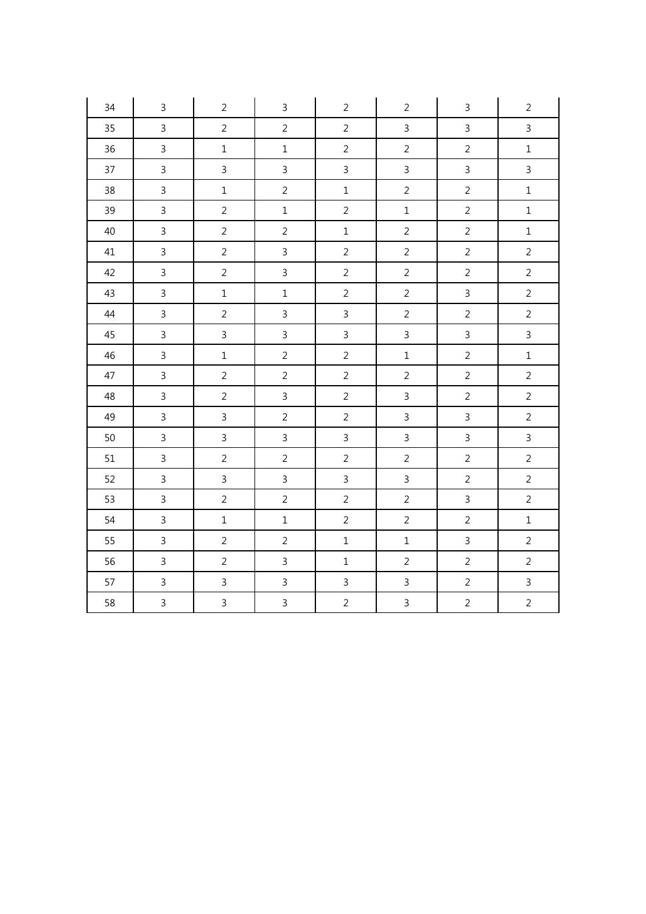| 34     | $\mathsf{3}$   | $\overline{2}$ | $\mathsf{3}$   | $\overline{2}$ | $\overline{2}$ | $\mathsf{3}$   | $\overline{2}$ |
|--------|----------------|----------------|----------------|----------------|----------------|----------------|----------------|
| 35     | $\overline{3}$ | $\overline{2}$ | $\overline{2}$ | $\overline{2}$ | $\overline{3}$ | $\mathsf{3}$   | $\mathbf{3}$   |
| 36     | $\overline{3}$ | $\mathbf 1$    | $\mathbf 1$    | $\overline{2}$ | $\overline{2}$ | $\overline{2}$ | $\mathbf 1$    |
| 37     | $\overline{3}$ | $\mathbf{3}$   | $\mathsf{3}$   | $\overline{3}$ | $\overline{3}$ | $\mathsf{3}$   | $\mathbf{3}$   |
| 38     | $\overline{3}$ | $\mathbf 1$    | $\overline{2}$ | $\mathbf{1}$   | $\overline{2}$ | $\overline{2}$ | $\mathbf 1$    |
| 39     | $\overline{3}$ | $\overline{2}$ | $\mathbf 1$    | $\overline{2}$ | $\mathbf 1$    | $\overline{2}$ | $\mathbf 1$    |
| $40\,$ | $\overline{3}$ | $\overline{2}$ | $\overline{2}$ | $\mathbf 1$    | $\overline{2}$ | $\overline{2}$ | $\mathbf 1$    |
| 41     | $\overline{3}$ | $\overline{2}$ | $\mathsf{3}$   | $\overline{2}$ | $\overline{2}$ | $\overline{2}$ | $\overline{2}$ |
| 42     | $\overline{3}$ | $\overline{2}$ | $\mathsf{3}$   | $\overline{2}$ | $\overline{2}$ | $\overline{2}$ | $\overline{2}$ |
| 43     | $\overline{3}$ | $\mathbf 1$    | $\mathbf 1$    | $\overline{2}$ | $\overline{2}$ | $\overline{3}$ | $\overline{2}$ |
| 44     | $\overline{3}$ | $\overline{2}$ | $\mathbf{3}$   | $\mathsf{3}$   | $\overline{2}$ | $\overline{2}$ | $\overline{2}$ |
| 45     | $\overline{3}$ | $\mathbf{3}$   | $\overline{3}$ | $\overline{3}$ | $\overline{3}$ | $\overline{3}$ | $\overline{3}$ |
| 46     | $\overline{3}$ | $\mathbf 1$    | $\overline{2}$ | $\overline{2}$ | $\mathbf 1$    | $\overline{2}$ | $\mathbf 1$    |
| 47     | $\overline{3}$ | $\overline{2}$ | $\overline{2}$ | $\overline{2}$ | $\overline{2}$ | $\overline{2}$ | $\overline{2}$ |
| 48     | $\overline{3}$ | $\overline{2}$ | $\overline{3}$ | $\overline{2}$ | $\overline{3}$ | $\overline{2}$ | $\overline{2}$ |
| 49     | $\overline{3}$ | $\mathbf{3}$   | $\overline{2}$ | $\overline{2}$ | $\overline{3}$ | $\overline{3}$ | $\overline{2}$ |
| 50     | $\overline{3}$ | $\mathbf{3}$   | $\mathsf{3}$   | $\overline{3}$ | $\mathbf{3}$   | $\overline{3}$ | $\overline{3}$ |
| 51     | $\mathsf{3}$   | $\overline{2}$ | $\overline{2}$ | $\overline{2}$ | $\overline{2}$ | $\overline{2}$ | $\overline{2}$ |
| 52     | $\overline{3}$ | $\mathbf{3}$   | $\mathsf{3}$   | $\overline{3}$ | $\mathbf{3}$   | $\overline{2}$ | $\overline{2}$ |
| 53     | $\mathsf{3}$   | $\overline{2}$ | $\overline{2}$ | $\overline{2}$ | $\overline{2}$ | $\overline{3}$ | $\overline{2}$ |
| 54     | $\overline{3}$ | $\mathbf{1}$   | $\mathbf{1}$   | $\overline{2}$ | $\overline{2}$ | $\overline{2}$ | $\mathbf 1$    |
| 55     | $\overline{3}$ | $\overline{2}$ | $\overline{2}$ | $\mathbf{1}$   | $\mathbf 1$    | $\overline{3}$ | $\overline{2}$ |
| 56     | $\mathsf{3}$   | $\overline{2}$ | $\mathsf{3}$   | $\mathbf{1}$   | $\overline{2}$ | $\overline{2}$ | $\overline{2}$ |
| 57     | $\overline{3}$ | $\mathbf{3}$   | $\mathbf{3}$   | $\mathbf{3}$   | $\mathsf{3}$   | $\overline{2}$ | $\mathbf{3}$   |
| 58     | $\overline{3}$ | $\mathbf{3}$   | $\overline{3}$ | $\overline{2}$ | $\overline{3}$ | $\overline{2}$ | $\overline{c}$ |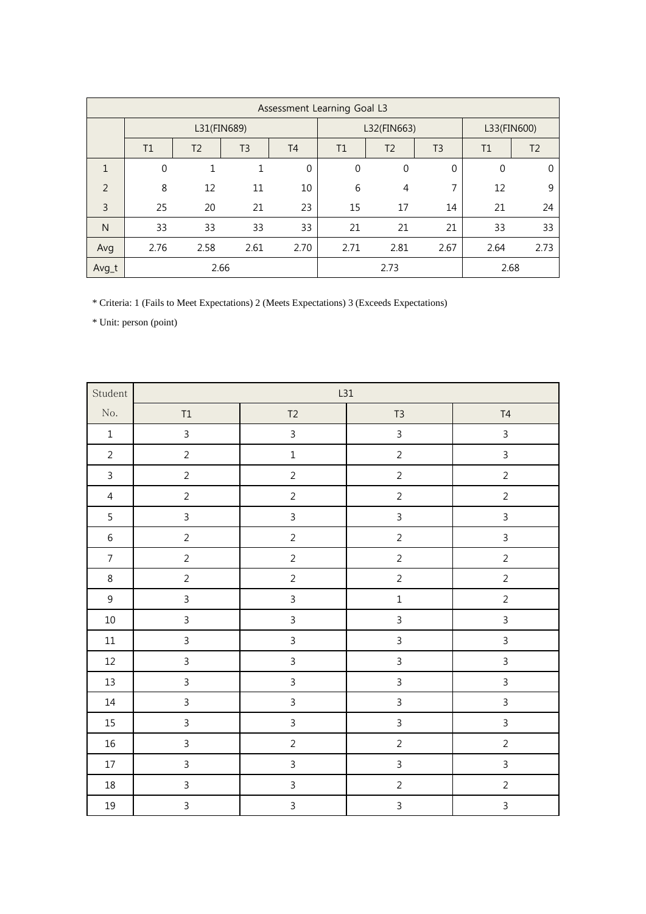|               | Assessment Learning Goal L3 |                |                |           |              |                |                |             |                |  |
|---------------|-----------------------------|----------------|----------------|-----------|--------------|----------------|----------------|-------------|----------------|--|
|               | L31(FIN689)                 |                |                |           | L32(FIN663)  |                |                |             | L33(FIN600)    |  |
|               | T1                          | T <sub>2</sub> | T <sub>3</sub> | <b>T4</b> | T1           | T <sub>2</sub> | T <sub>3</sub> | T1          | T <sub>2</sub> |  |
| 1             | $\mathbf 0$                 | 1              |                | $\Omega$  | $\mathbf{0}$ | $\mathbf 0$    | 0              | $\mathbf 0$ | 0              |  |
| $\mathcal{P}$ | 8                           | 12             | 11             | 10        | 6            | 4              | 7              | 12          | 9              |  |
| 3             | 25                          | 20             | 21             | 23        | 15           | 17             | 14             | 21          | 24             |  |
| N             | 33                          | 33             | 33             | 33        | 21           | 21             | 21             | 33          | 33             |  |
| Avg           | 2.76                        | 2.58           | 2.61           | 2.70      | 2.71         | 2.81           | 2.67           | 2.64        | 2.73           |  |
| Avg_t         |                             |                | 2.66           |           |              | 2.73           |                | 2.68        |                |  |

\* Criteria: 1 (Fails to Meet Expectations) 2 (Meets Expectations) 3 (Exceeds Expectations)

| Student          |                |                | L31            |                |  |  |  |
|------------------|----------------|----------------|----------------|----------------|--|--|--|
| No.              | $\mathsf{T1}$  | T2             | $T3$           | $\mathsf{T}4$  |  |  |  |
| $\,1\,$          | $\mathbf{3}$   | $\mathbf{3}$   | $\mathfrak{Z}$ | $\mathfrak{Z}$ |  |  |  |
| $\overline{2}$   | $\overline{2}$ | $\mathbf 1$    | $\overline{2}$ | $\overline{3}$ |  |  |  |
| $\overline{3}$   | $\overline{2}$ | $\overline{2}$ | $\overline{2}$ | $\overline{2}$ |  |  |  |
| $\overline{4}$   | $\overline{2}$ | $\overline{2}$ | $\overline{2}$ | $\overline{2}$ |  |  |  |
| $\overline{5}$   | $\mathbf{3}$   | $\overline{3}$ | $\overline{3}$ | $\mathfrak{Z}$ |  |  |  |
| $\,$ 6 $\,$      | $\overline{2}$ | $\overline{2}$ | $\sqrt{2}$     | $\overline{3}$ |  |  |  |
| $\boldsymbol{7}$ | $\overline{2}$ | $\overline{2}$ | $\overline{2}$ | $\overline{2}$ |  |  |  |
| $\,8\,$          | $\overline{2}$ | $\overline{2}$ | $\overline{2}$ | $\overline{2}$ |  |  |  |
| $\mathsf 9$      | $\mathsf{3}$   | $\overline{3}$ | $\mathbf 1$    | $\overline{2}$ |  |  |  |
| $10\,$           | $\overline{3}$ | $\overline{3}$ | $\overline{3}$ | $\overline{3}$ |  |  |  |
| $11\,$           | $\mathsf{3}$   | $\overline{3}$ | $\overline{3}$ | $\overline{3}$ |  |  |  |
| $12\,$           | $\overline{3}$ | $\overline{3}$ | $\overline{3}$ | $\overline{3}$ |  |  |  |
| $13\,$           | $\mathsf{3}$   | $\mathfrak{Z}$ | $\overline{3}$ | $\overline{3}$ |  |  |  |
| $14\,$           | $\mathsf{3}$   | $\overline{3}$ | $\overline{3}$ | $\overline{3}$ |  |  |  |
| $15\,$           | $\mathsf{3}$   | $\overline{3}$ | $\overline{3}$ | $\mathfrak{Z}$ |  |  |  |
| $16\,$           | $\mathsf{3}$   | $\overline{2}$ | $\overline{2}$ | $\overline{2}$ |  |  |  |
| $17\,$           | $\overline{3}$ | $\overline{3}$ | $\overline{3}$ | $\overline{3}$ |  |  |  |
| $18\,$           | $\mathsf{3}$   | $\overline{3}$ | $\overline{c}$ | $\overline{c}$ |  |  |  |
| $19\,$           | $\mathsf{3}$   | $\overline{3}$ | $\overline{3}$ | $\overline{3}$ |  |  |  |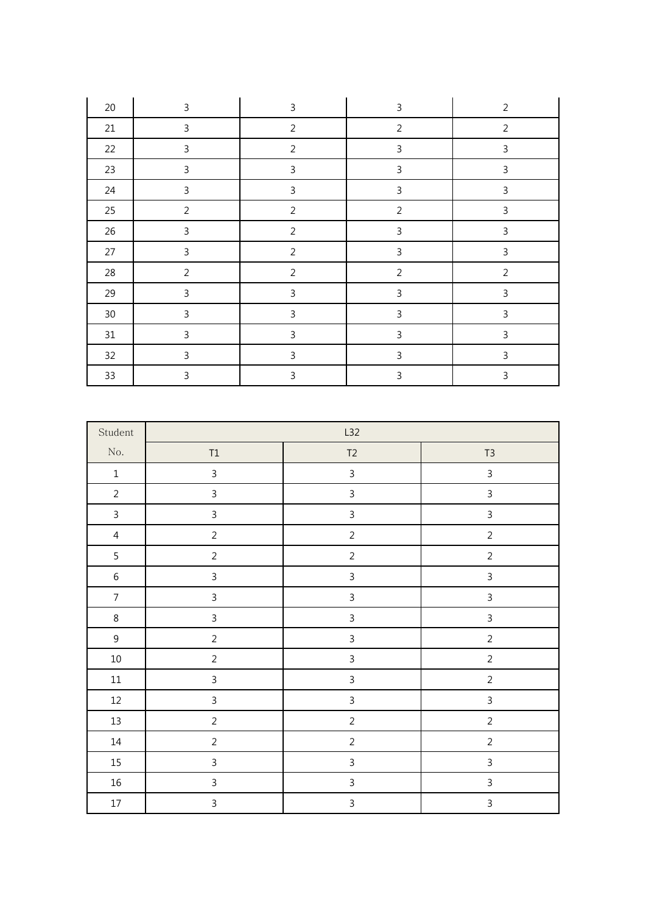| 20     | $\mathbf{3}$   | $\mathsf{3}$   | $\mathsf 3$    | $\overline{2}$ |
|--------|----------------|----------------|----------------|----------------|
| 21     | 3              | $\overline{2}$ | $\overline{2}$ | $\overline{2}$ |
| 22     | 3              | $\overline{2}$ | $\mathsf 3$    | 3              |
| 23     | $\mathbf{3}$   | $\mathbf{3}$   | $\mathsf 3$    | $\mathsf{3}$   |
| 24     | 3              | $\mathsf{3}$   | $\mathsf 3$    | 3              |
| 25     | $\overline{2}$ | $\overline{2}$ | $\overline{2}$ | 3              |
| $26\,$ | $\mathbf{3}$   | $\overline{2}$ | $\mathsf 3$    | $\mathsf{3}$   |
| 27     | $\mathbf{3}$   | $\overline{2}$ | $\mathsf 3$    | $\mathsf 3$    |
| 28     | $\overline{2}$ | $\overline{2}$ | $\overline{2}$ | $\overline{2}$ |
| 29     | $\mathsf{3}$   | $\mathsf{3}$   | $\mathsf 3$    | $\mathsf{3}$   |
| $30\,$ | 3              | $\mathsf{3}$   | $\mathsf 3$    | $\mathbf{3}$   |
| $31\,$ | 3              | 3              | $\mathsf 3$    | 3              |
| 32     | 3              | $\mathsf 3$    | $\mathsf 3$    | $\mathsf 3$    |
| 33     | 3              | 3              | $\mathbf{3}$   | 3              |

| Student        |                         | L32                     |                |
|----------------|-------------------------|-------------------------|----------------|
| $\rm No.$      | $\mathsf{T1}$           | $T2$                    | $T3$           |
| $\mathbf 1$    | 3                       | $\mathsf{3}$            | $\overline{3}$ |
| $\overline{2}$ | 3                       | 3                       | $\mathsf{3}$   |
| $\mathbf{3}$   | $\mathfrak{Z}$          | $\overline{\mathbf{3}}$ | $\overline{3}$ |
| $\overline{4}$ | $\overline{c}$          | $\overline{2}$          | $\sqrt{2}$     |
| 5              | $\overline{c}$          | $\overline{c}$          | $\overline{c}$ |
| $\,$ 6 $\,$    | $\overline{\mathbf{3}}$ | $\overline{3}$          | $\overline{3}$ |
| $\overline{7}$ | $\overline{3}$          | $\overline{3}$          | $\overline{3}$ |
| $\,8\,$        | $\overline{3}$          | $\overline{\mathbf{3}}$ | $\mathsf 3$    |
| $\mathsf 9$    | $\overline{c}$          | $\overline{3}$          | $\overline{c}$ |
| $10\,$         | $\overline{c}$          | $\overline{\mathbf{3}}$ | $\overline{c}$ |
| $11\,$         | $\overline{3}$          | $\overline{\mathbf{3}}$ | $\overline{c}$ |
| $12\,$         | $\overline{3}$          | $\overline{\mathbf{3}}$ | $\overline{3}$ |
| 13             | $\overline{c}$          | $\overline{c}$          | $\overline{c}$ |
| $14\,$         | $\overline{c}$          | $\overline{c}$          | $\overline{c}$ |
| $15\,$         | $\mathsf{3}$            | 3                       | $\mathsf{3}$   |
| $16\,$         | 3                       | $\mathsf{3}$            | $\mathsf{3}$   |
| $17\,$         | $\overline{3}$          | $\overline{3}$          | $\overline{3}$ |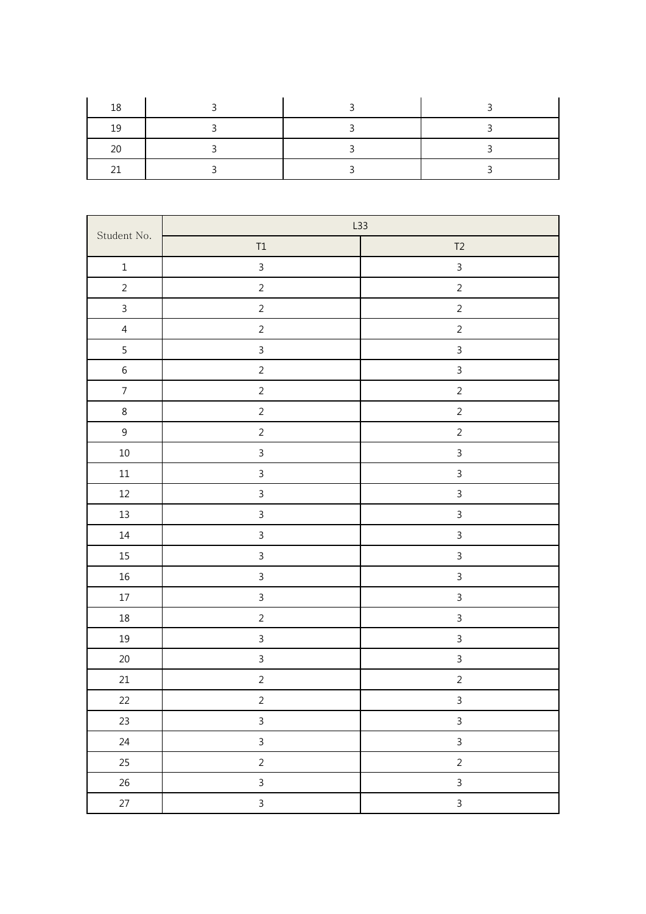| 1 C |  |  |
|-----|--|--|
|     |  |  |
|     |  |  |

| Student No.    |                         | L33            |  |  |
|----------------|-------------------------|----------------|--|--|
|                | $\mathsf{T1}$           | $T2$           |  |  |
| $\mathbf 1$    | $\overline{3}$          | $\overline{3}$ |  |  |
| $\overline{c}$ | $\overline{a}$          | $\overline{2}$ |  |  |
| $\overline{3}$ | $\overline{2}$          | $\overline{2}$ |  |  |
| $\overline{4}$ | $\overline{c}$          | $\overline{c}$ |  |  |
| 5              | $\overline{3}$          | $\overline{3}$ |  |  |
| $\sqrt{6}$     | $\overline{c}$          | $\mathfrak{Z}$ |  |  |
| $\overline{7}$ | $\overline{c}$          | $\overline{c}$ |  |  |
| $\,8\,$        | $\overline{2}$          | $\overline{c}$ |  |  |
| $\mathsf 9$    | $\overline{a}$          | $\overline{a}$ |  |  |
| $10\,$         | $\overline{3}$          | $\overline{3}$ |  |  |
| $11\,$         | $\overline{3}$          | $\overline{3}$ |  |  |
| $12\,$         | $\overline{\mathbf{3}}$ | $\mathfrak{Z}$ |  |  |
| 13             | $\overline{3}$          | $\overline{3}$ |  |  |
| $14\,$         | $\overline{3}$          | $\mathbf{3}$   |  |  |
| $15\,$         | $\overline{3}$          | $\mathbf{3}$   |  |  |
| $16\,$         | $\overline{3}$          | $\overline{3}$ |  |  |
| $17\,$         | $\overline{3}$          | $\overline{3}$ |  |  |
| $18\,$         | $\overline{c}$          | $\mathfrak{Z}$ |  |  |
| $19\,$         | $\overline{3}$          | $\overline{3}$ |  |  |
| $20\,$         | $\overline{3}$          | $\mathbf{3}$   |  |  |
| $21\,$         | $\overline{c}$          | $\overline{c}$ |  |  |
| 22             | $\overline{a}$          | $\overline{3}$ |  |  |
| 23             | $\overline{3}$          | $\mathbf{3}$   |  |  |
| $24\,$         | $\mathbf{3}$            | $\mathbf{3}$   |  |  |
| 25             | $\overline{2}$          | $\overline{2}$ |  |  |
| 26             | $\overline{3}$          | $\overline{3}$ |  |  |
| 27             | $\overline{3}$          | $\mathbf{3}$   |  |  |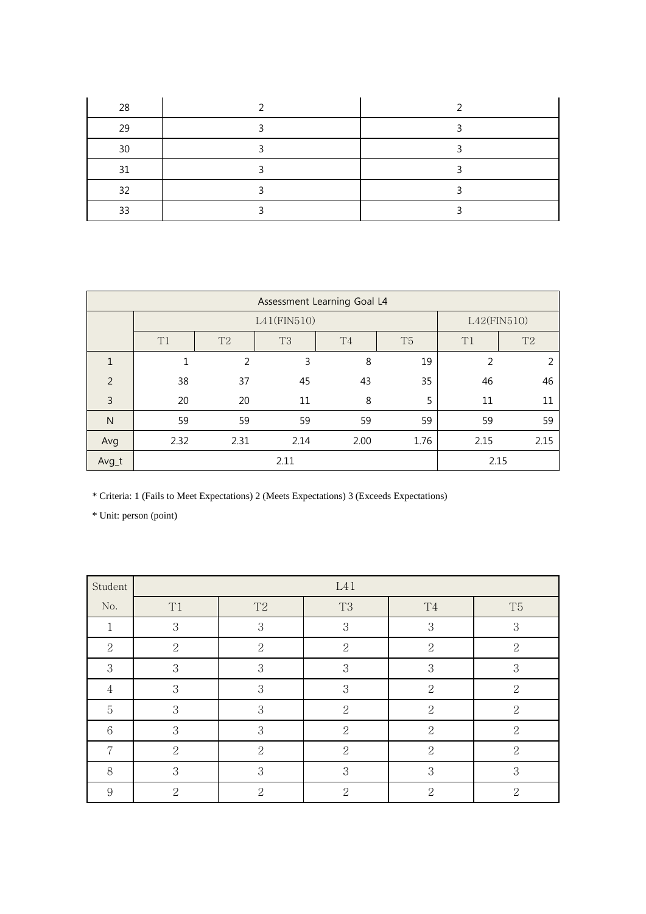| 28 |  |
|----|--|
| 29 |  |
| 30 |  |
| 31 |  |
| 32 |  |
| 33 |  |

|              | Assessment Learning Goal L4 |                |                |                |                |                |                |  |  |
|--------------|-----------------------------|----------------|----------------|----------------|----------------|----------------|----------------|--|--|
|              |                             |                | L41(FIN510)    |                |                |                | L42(FIN510)    |  |  |
|              | T1                          | T <sub>2</sub> | T <sub>3</sub> | T <sub>4</sub> | T <sub>5</sub> | T1             | T <sub>2</sub> |  |  |
| $\mathbf{1}$ | 1                           | $\overline{2}$ | 3              | 8              | 19             | $\overline{2}$ | 2              |  |  |
| 2            | 38                          | 37             | 45             | 43             | 35             | 46             | 46             |  |  |
| 3            | 20                          | 20             | 11             | 8              | 5              | 11             | 11             |  |  |
| N            | 59                          | 59             | 59             | 59             | 59             | 59             | 59             |  |  |
| Avg          | 2.32                        | 2.31           | 2.14           | 2.00           | 1.76           | 2.15           | 2.15           |  |  |
| Avg_t        |                             |                | 2.11           |                |                |                | 2.15           |  |  |

\* Criteria: 1 (Fails to Meet Expectations) 2 (Meets Expectations) 3 (Exceeds Expectations)

| Student         | L41                         |                   |                |                |                |
|-----------------|-----------------------------|-------------------|----------------|----------------|----------------|
| No.             | T <sub>1</sub>              | T2                | T <sub>3</sub> | T <sub>4</sub> | T <sub>5</sub> |
| 1               | 3                           | 3                 | 3              | 3              | 3              |
| $\overline{2}$  | $\overline{2}$              | $\overline{2}$    | $\overline{2}$ | $\overline{2}$ | $\overline{2}$ |
| 3               | 3                           | 3                 | 3              | 3              | 3              |
| $\overline{4}$  | 3                           | 3                 | 3              | $\overline{2}$ | $\overline{2}$ |
| $\overline{5}$  | 3                           | 3                 | $\overline{2}$ | $\overline{2}$ | $\overline{2}$ |
| $6\phantom{.}6$ | 3                           | 3                 | $\overline{2}$ | $\overline{2}$ | $\overline{2}$ |
| 7               | $\overline{2}$              | $\overline{2}$    | $\overline{2}$ | $\overline{2}$ | $\overline{2}$ |
| 8               | 3                           | 3                 | 3              | 3              | 3              |
| 9               | $\mathcal{D}_{\mathcal{L}}$ | $\mathcal{D}_{1}$ | $\mathcal{D}$  | $\overline{2}$ | 2              |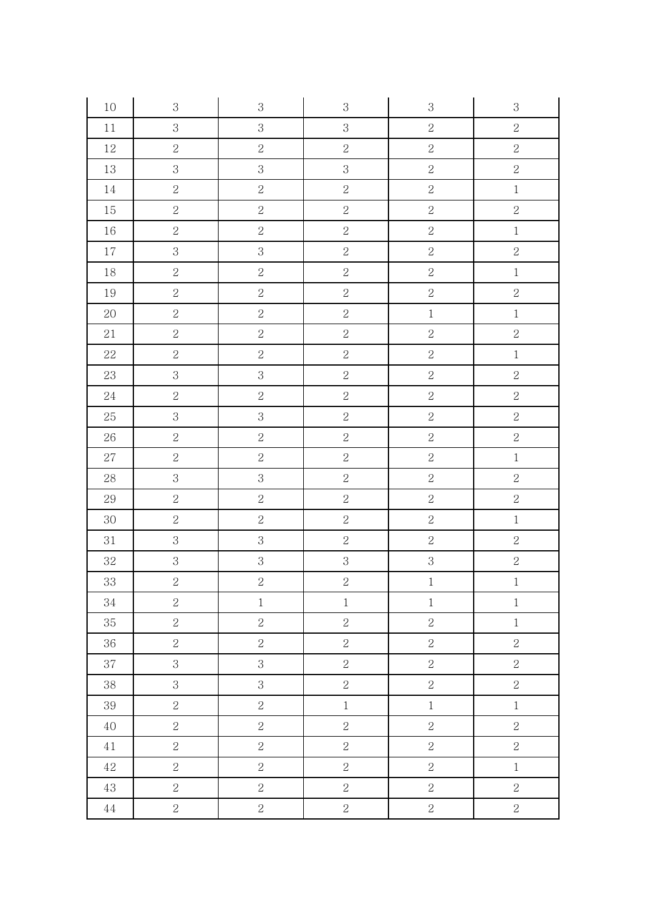| 10          | $\,3$          | $\,3$          | $\,3$          | $\,3$          | $\boldsymbol{3}$ |
|-------------|----------------|----------------|----------------|----------------|------------------|
| $11\,$      | $\overline{3}$ | $\,3$          | $\mathfrak{S}$ | $\overline{2}$ | $\overline{2}$   |
| 12          | $\overline{2}$ | $\sqrt{2}$     | $\sqrt{2}$     | $\sqrt{2}$     | $\overline{2}$   |
| $13\,$      | $\overline{3}$ | $\,3$          | $\mathbf{3}$   | $\overline{2}$ | $\overline{2}$   |
| $14\,$      | $\overline{2}$ | $\sqrt{2}$     | $\overline{2}$ | $\overline{2}$ | $\,1$            |
| $15\,$      | $\overline{2}$ | $\overline{2}$ | $\overline{2}$ | $\overline{2}$ | $\overline{2}$   |
| $16\,$      | $\overline{2}$ | $\sqrt{2}$     | $\overline{2}$ | $\sqrt{2}$     | $\,1$            |
| $17\,$      | $\overline{3}$ | $\mathbf{3}$   | $\overline{2}$ | $\overline{2}$ | $\overline{2}$   |
| 18          | $\overline{2}$ | $\sqrt{2}$     | $\overline{2}$ | $\overline{2}$ | $\,1$            |
| 19          | $\overline{2}$ | $\overline{2}$ | $\overline{2}$ | $\overline{2}$ | $\overline{2}$   |
| $20\,$      | $\overline{2}$ | $\overline{2}$ | $\overline{2}$ | $\,1$          | $\,1$            |
| $21\,$      | $\overline{2}$ | $\overline{2}$ | $\overline{2}$ | $\overline{2}$ | $\overline{2}$   |
| $22\,$      | $\overline{2}$ | $\overline{2}$ | $\overline{2}$ | $\overline{2}$ | $\,1$            |
| $23\,$      | $\overline{3}$ | $\,3$          | $\overline{2}$ | $\overline{2}$ | $\overline{2}$   |
| $24\,$      | $\overline{2}$ | $\sqrt{2}$     | $\sqrt{2}$     | $\overline{2}$ | $\overline{2}$   |
| $25\,$      | $\overline{3}$ | $\overline{3}$ | $\overline{2}$ | $\overline{2}$ | $\overline{2}$   |
| $26\,$      | $\overline{2}$ | $\sqrt{2}$     | $\overline{2}$ | $\overline{2}$ | $\overline{2}$   |
| $27\,$      | $\overline{2}$ | $\overline{2}$ | $\overline{2}$ | $\overline{2}$ | $\,1$            |
| $28\,$      | $\overline{3}$ | $\,3$          | $\overline{2}$ | $\overline{2}$ | $\overline{2}$   |
| $\rm 29$    | $\overline{2}$ | $\overline{2}$ | $\overline{2}$ | $\overline{2}$ | $\overline{2}$   |
| 30          | $\overline{2}$ | $\sqrt{2}$     | $\overline{2}$ | $\overline{2}$ | $\mathbf 1$      |
| $31\,$      | $\overline{3}$ | $\,3$          | $\overline{2}$ | $\sqrt{2}$     | $\overline{2}$   |
| $32\,$      | $\overline{3}$ | $\overline{3}$ | $\overline{3}$ | $\overline{3}$ | $\overline{2}$   |
| 33          | $\overline{2}$ | $\overline{2}$ | $\overline{2}$ | $\,1$          | $\,1$            |
| $34\,$      | $\overline{2}$ | $\,1$          | $\,1$          | $\,1$          | $\,1$            |
| 35          | $\overline{2}$ | $\overline{2}$ | $\overline{2}$ | $\overline{2}$ | $1\,$            |
| 36          | $\overline{2}$ | $\sqrt{2}$     | $\sqrt{2}$     | $\sqrt{2}$     | $\overline{2}$   |
| $37\,$      | $\overline{3}$ | $\mathbf{3}$   | $\overline{2}$ | $\overline{2}$ | $\overline{2}$   |
| $38\,$      | $\overline{3}$ | $\overline{3}$ | $\overline{2}$ | $\overline{2}$ | $\overline{2}$   |
| $39\,$      | $\overline{2}$ | $\sqrt{2}$     | $\,1$          | $\,1$          | $\,1$            |
| 40          | $\overline{2}$ | $\overline{2}$ | $\overline{2}$ | $\sqrt{2}$     | $\overline{c}$   |
| $4\sqrt{1}$ | $\overline{2}$ | $\sqrt{2}$     | $\overline{2}$ | $\overline{2}$ | $\overline{2}$   |
| $42\,$      | $\overline{2}$ | $\sqrt{2}$     | $\overline{2}$ | $\sqrt{2}$     | $\,1$            |
| $43\,$      | $\overline{2}$ | $\sqrt{2}$     | $\overline{2}$ | $\sqrt{2}$     | $\overline{2}$   |
| $\rm 44$    | $\overline{2}$ | $\overline{2}$ | $\sqrt{2}$     | $\overline{2}$ | $\overline{2}$   |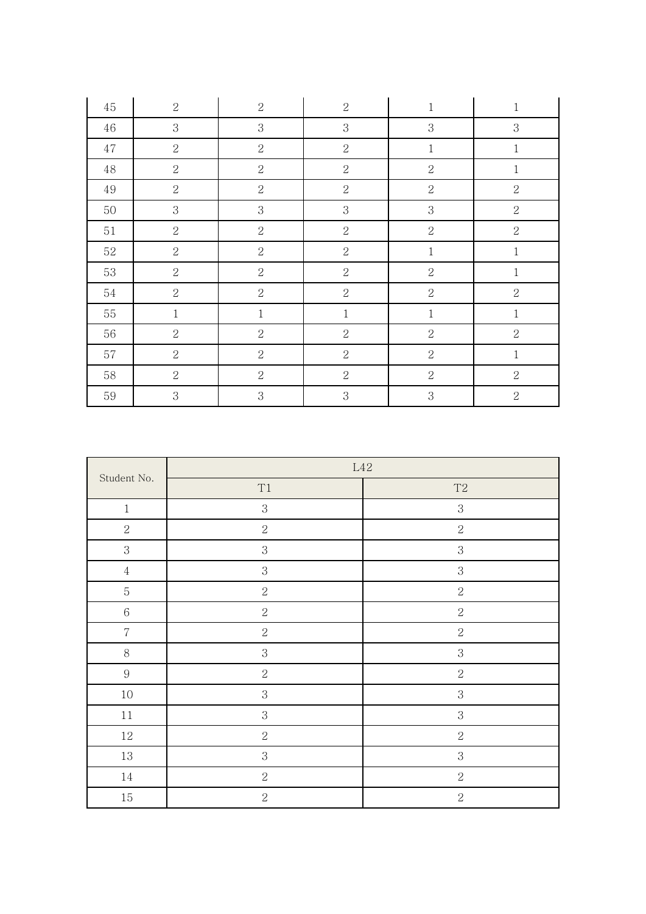| 45     | $\sqrt{2}$     | $\sqrt{2}$     | $\overline{2}$ | $\mathbf{1}$   | $\,1$          |
|--------|----------------|----------------|----------------|----------------|----------------|
| $46\,$ | $\sqrt{3}$     | $\mathbf 3$    | $\sqrt{3}$     | 3              | $\sqrt{3}$     |
| $47\,$ | $\overline{2}$ | $\overline{2}$ | $\overline{2}$ | $1\,$          | $\,1$          |
| $48\,$ | $\sqrt{2}$     | $\sqrt{2}$     | $\sqrt{2}$     | $\overline{2}$ | $\,1$          |
| $49\,$ | $\sqrt{2}$     | $\sqrt{2}$     | $\overline{2}$ | $\overline{2}$ | $\sqrt{2}$     |
| 50     | $\,3$          | $\mathbf{3}$   | $\,3$          | 3              | $\sqrt{2}$     |
| $51\,$ | $\overline{2}$ | $\overline{2}$ | $\overline{2}$ | $\overline{2}$ | $\sqrt{2}$     |
| $52\,$ | $\sqrt{2}$     | $\sqrt{2}$     | $\sqrt{2}$     | $\,1\,$        | $\,1$          |
| 53     | $\sqrt{2}$     | $\sqrt{2}$     | $\overline{2}$ | $\overline{2}$ | $1\,$          |
| 54     | $\overline{2}$ | $\overline{2}$ | $\overline{2}$ | $\overline{2}$ | $\overline{2}$ |
| 55     | $\,1$          | $\,1$          | $\mathbf{1}$   | $\,1\,$        | $\,1\,$        |
| $56\,$ | $\sqrt{2}$     | $\sqrt{2}$     | $\sqrt{2}$     | $\sqrt{2}$     | $\sqrt{2}$     |
| $57\,$ | $\sqrt{2}$     | $\sqrt{2}$     | $\overline{2}$ | $\overline{2}$ | $\,1$          |
| $58\,$ | $\sqrt{2}$     | $\sqrt{2}$     | $\overline{2}$ | $\overline{2}$ | $\sqrt{2}$     |
| 59     | 3              | 3              | 3              | 3              | $\sqrt{2}$     |

|                  | $\mbox{L}42$   |                |  |
|------------------|----------------|----------------|--|
| Student No.      | $\rm T1$       | $\mathrm{T}2$  |  |
| $\,1\,$          | $\,3$          | $\,3$          |  |
| $\sqrt{2}$       | $\sqrt{2}$     | $\overline{2}$ |  |
| $\,3$            | $\,3$          | $\,3$          |  |
| $\sqrt{4}$       | $\,3$          | 3              |  |
| $\mathbf 5$      | $\sqrt{2}$     | $\overline{2}$ |  |
| $\,6$            | $\sqrt{2}$     | $\sqrt{2}$     |  |
| $\overline{7}$   | $\overline{2}$ | $\overline{2}$ |  |
| $8\,$            | $\,3$          | $\,3$          |  |
| $\boldsymbol{9}$ | $\sqrt{2}$     | $\sqrt{2}$     |  |
| $10\,$           | $\,3$          | $\,3$          |  |
| $11\,$           | $\,3$          | $\,3$          |  |
| $12\,$           | $\sqrt{2}$     | $\sqrt{2}$     |  |
| $13\,$           | $\,3$          | $\,3$          |  |
| $14\,$           | $\sqrt{2}$     | $\sqrt{2}$     |  |
| $15\,$           | $\overline{2}$ | $\overline{2}$ |  |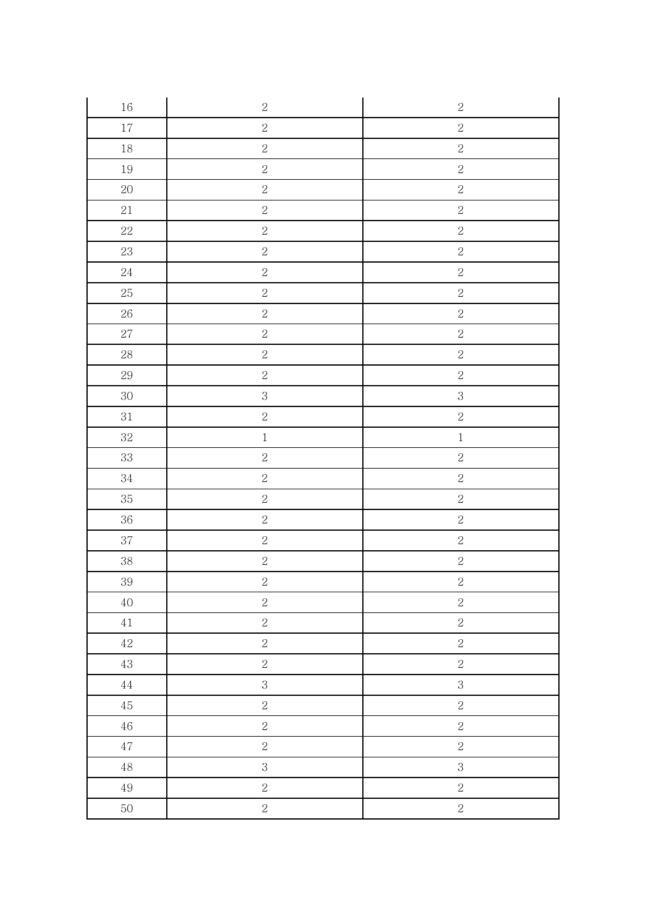| $16\,$   | $\sqrt{2}$     | $\sqrt{2}$     |
|----------|----------------|----------------|
| $17\,$   | $\sqrt{2}$     | $\sqrt{2}$     |
| $18\,$   | $\overline{2}$ | $\sqrt{2}$     |
| $19\,$   | $\sqrt{2}$     | $\sqrt{2}$     |
| $20\,$   | $\sqrt{2}$     | $\sqrt{2}$     |
| $21\,$   | $\overline{2}$ | $\sqrt{2}$     |
| $22\,$   | $\sqrt{2}$     | $\sqrt{2}$     |
| $23\,$   | $\overline{2}$ | $\sqrt{2}$     |
| $24\,$   | $\overline{2}$ | $\sqrt{2}$     |
| $25\,$   | $\overline{2}$ | $\sqrt{2}$     |
| $26\,$   | $\sqrt{2}$     | $\sqrt{2}$     |
| $27\,$   | $\sqrt{2}$     | $\sqrt{2}$     |
| $28\,$   | $\overline{2}$ | $\sqrt{2}$     |
| $29\,$   | $\sqrt{2}$     | $\sqrt{2}$     |
| $30\,$   | $\overline{3}$ | $\mathbf{3}$   |
| $31\,$   | $\overline{2}$ | $\sqrt{2}$     |
| $32\,$   | $\,1$          | $\,1$          |
| $33\,$   | $\overline{2}$ | $\sqrt{2}$     |
| $34\,$   | $\sqrt{2}$     | $\sqrt{2}$     |
| $35\,$   | $\overline{2}$ | $\sqrt{2}$     |
| $36\,$   | $\overline{2}$ | $\sqrt{2}$     |
| $37\,$   | $\sqrt{2}$     | $\sqrt{2}$     |
| $38\,$   | $\overline{2}$ | $\sqrt{2}$     |
| 39       | $\sqrt{2}$     | $\sqrt{2}$     |
| $40\,$   | $\sqrt{2}$     | $\sqrt{2}$     |
| $41\,$   | $\overline{2}$ | $\overline{2}$ |
| $42\,$   | $\overline{2}$ | $\sqrt{2}$     |
| $43\,$   | $\sqrt{2}$     | $\overline{2}$ |
| $\rm 44$ | $\mathbf{3}$   | $\mathbf{3}$   |
| $45\,$   | $\sqrt{2}$     | $\sqrt{2}$     |
| $46\,$   | $\overline{2}$ | $\sqrt{2}$     |
| $47\,$   | $\overline{2}$ | $\overline{2}$ |
| $48\,$   | 3              | $\mathbf{3}$   |
| $49\,$   | $\sqrt{2}$     | $\sqrt{2}$     |
| $50\,$   | $\sqrt{2}$     | $\sqrt{2}$     |